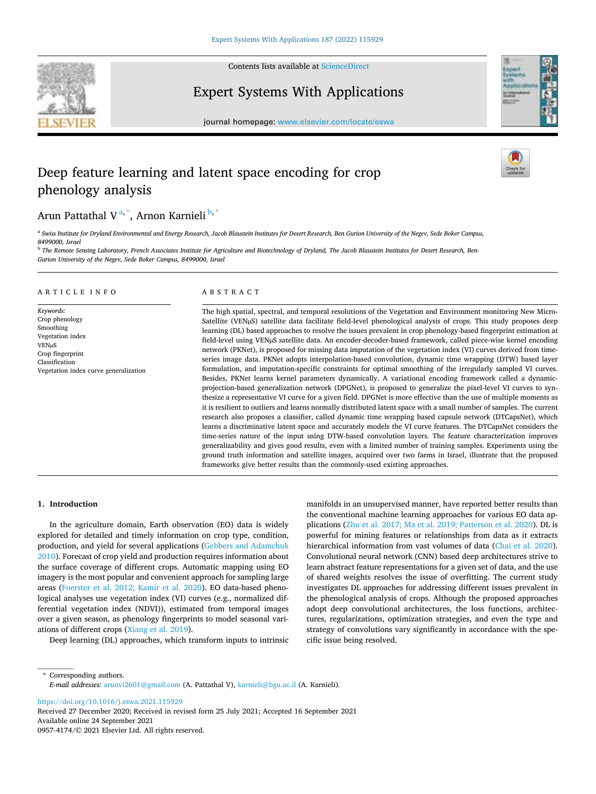

Contents lists available at [ScienceDirect](www.sciencedirect.com/science/journal/09574174)

# Expert Systems With Applications



journal homepage: [www.elsevier.com/locate/eswa](https://www.elsevier.com/locate/eswa)

# Deep feature learning and latent space encoding for crop phenology analysis

# Arun Pattathal V<sup>a,\*</sup>, Arnon Karnieli<sup>b,\*</sup>

<sup>a</sup> *Swiss Institute for Dryland Environmental and Energy Research, Jacob Blaustein Institutes for Desert Research, Ben Gurion University of the Negev, Sede Boker Campus, 8499000, Israel* 

<sup>b</sup> *The Remote Sensing Laboratory, French Associates Institute for Agriculture and Biotechnology of Dryland, The Jacob Blaustein Institutes for Desert Research, Ben-Gurion University of the Negev, Sede Boker Campus, 8499000, Israel* 

## A R T I C L E I N F O

*Keywords:*  Crop phenology Smoothing Vegetation index VENµS Crop fingerprint Classification Vegetation index curve generalization

#### ABSTRACT

The high spatial, spectral, and temporal resolutions of the Vegetation and Environment monitoring New Micro-Satellite (VENµS) satellite data facilitate field-level phenological analysis of crops. This study proposes deep learning (DL) based approaches to resolve the issues prevalent in crop phenology-based fingerprint estimation at field-level using VENµS satellite data. An encoder-decoder-based framework, called piece-wise kernel encoding network (PKNet), is proposed for missing data imputation of the vegetation index (VI) curves derived from timeseries image data. PKNet adopts interpolation-based convolution, dynamic time wrapping (DTW) based layer formulation, and imputation-specific constraints for optimal smoothing of the irregularly sampled VI curves. Besides, PKNet learns kernel parameters dynamically. A variational encoding framework called a dynamicprojection-based generalization network (DPGNet), is proposed to generalize the pixel-level VI curves to synthesize a representative VI curve for a given field. DPGNet is more effective than the use of multiple moments as it is resilient to outliers and learns normally distributed latent space with a small number of samples. The current research also proposes a classifier, called dynamic time wrapping based capsule network (DTCapsNet), which learns a discriminative latent space and accurately models the VI curve features. The DTCapsNet considers the time-series nature of the input using DTW-based convolution layers. The feature characterization improves generalizability and gives good results, even with a limited number of training samples. Experiments using the ground truth information and satellite images, acquired over two farms in Israel, illustrate that the proposed frameworks give better results than the commonly-used existing approaches.

#### **1. Introduction**

In the agriculture domain, Earth observation (EO) data is widely explored for detailed and timely information on crop type, condition, production, and yield for several applications [\(Gebbers and Adamchuk](#page-15-0)  [2010\)](#page-15-0). Forecast of crop yield and production requires information about the surface coverage of different crops. Automatic mapping using EO imagery is the most popular and convenient approach for sampling large areas ([Foerster et al. 2012; Kamir et al. 2020\)](#page-15-0). EO data-based phenological analyses use vegetation index (VI) curves (e.g., normalized differential vegetation index (NDVI)), estimated from temporal images over a given season, as phenology fingerprints to model seasonal variations of different crops [\(Xiang et al. 2019\)](#page-16-0).

Deep learning (DL) approaches, which transform inputs to intrinsic

manifolds in an unsupervised manner, have reported better results than the conventional machine learning approaches for various EO data applications ([Zhu et al. 2017; Ma et al. 2019; Patterson et al. 2020\)](#page-16-0). DL is powerful for mining features or relationships from data as it extracts hierarchical information from vast volumes of data [\(Chai et al. 2020](#page-15-0)). Convolutional neural network (CNN) based deep architectures strive to learn abstract feature representations for a given set of data, and the use of shared weights resolves the issue of overfitting. The current study investigates DL approaches for addressing different issues prevalent in the phenological analysis of crops. Although the proposed approaches adopt deep convolutional architectures, the loss functions, architectures, regularizations, optimization strategies, and even the type and strategy of convolutions vary significantly in accordance with the specific issue being resolved.

\* Corresponding authors. *E-mail addresses:* [arunvi2601@gmail.com](mailto:arunvi2601@gmail.com) (A. Pattathal V), [karnieli@bgu.ac.il](mailto:karnieli@bgu.ac.il) (A. Karnieli).

<https://doi.org/10.1016/j.eswa.2021.115929>

Available online 24 September 2021 0957-4174/© 2021 Elsevier Ltd. All rights reserved. Received 27 December 2020; Received in revised form 25 July 2021; Accepted 16 September 2021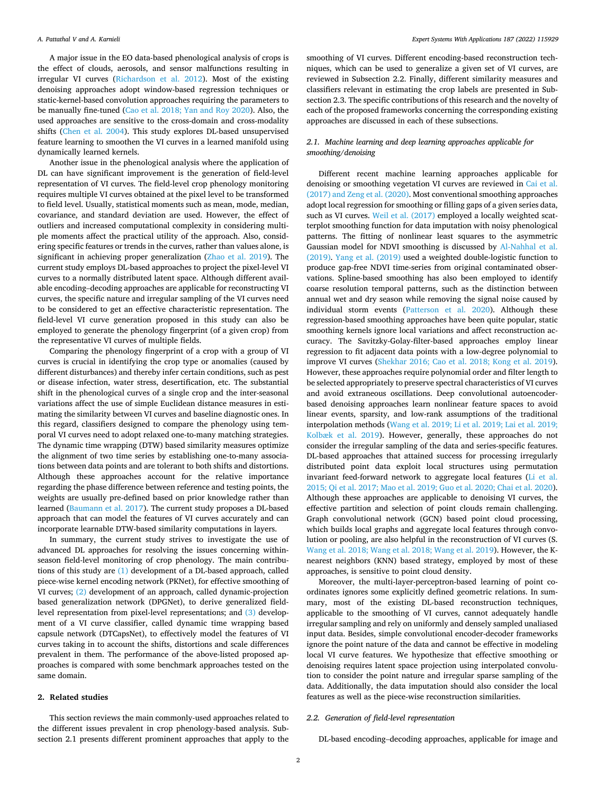A major issue in the EO data-based phenological analysis of crops is the effect of clouds, aerosols, and sensor malfunctions resulting in irregular VI curves ([Richardson et al. 2012](#page-16-0)). Most of the existing denoising approaches adopt window-based regression techniques or static-kernel-based convolution approaches requiring the parameters to be manually fine-tuned [\(Cao et al. 2018; Yan and Roy 2020\)](#page-15-0). Also, the used approaches are sensitive to the cross-domain and cross-modality shifts ([Chen et al. 2004](#page-15-0)). This study explores DL-based unsupervised feature learning to smoothen the VI curves in a learned manifold using dynamically learned kernels.

Another issue in the phenological analysis where the application of DL can have significant improvement is the generation of field-level representation of VI curves. The field-level crop phenology monitoring requires multiple VI curves obtained at the pixel level to be transformed to field level. Usually, statistical moments such as mean, mode, median, covariance, and standard deviation are used. However, the effect of outliers and increased computational complexity in considering multiple moments affect the practical utility of the approach. Also, considering specific features or trends in the curves, rather than values alone, is significant in achieving proper generalization [\(Zhao et al. 2019](#page-16-0)). The current study employs DL-based approaches to project the pixel-level VI curves to a normally distributed latent space. Although different available encoding–decoding approaches are applicable for reconstructing VI curves, the specific nature and irregular sampling of the VI curves need to be considered to get an effective characteristic representation. The field-level VI curve generation proposed in this study can also be employed to generate the phenology fingerprint (of a given crop) from the representative VI curves of multiple fields.

Comparing the phenology fingerprint of a crop with a group of VI curves is crucial in identifying the crop type or anomalies (caused by different disturbances) and thereby infer certain conditions, such as pest or disease infection, water stress, desertification, etc. The substantial shift in the phenological curves of a single crop and the inter-seasonal variations affect the use of simple Euclidean distance measures in estimating the similarity between VI curves and baseline diagnostic ones. In this regard, classifiers designed to compare the phenology using temporal VI curves need to adopt relaxed one-to-many matching strategies. The dynamic time wrapping (DTW) based similarity measures optimize the alignment of two time series by establishing one-to-many associations between data points and are tolerant to both shifts and distortions. Although these approaches account for the relative importance regarding the phase difference between reference and testing points, the weights are usually pre-defined based on prior knowledge rather than learned [\(Baumann et al. 2017](#page-15-0)). The current study proposes a DL-based approach that can model the features of VI curves accurately and can incorporate learnable DTW-based similarity computations in layers.

In summary, the current study strives to investigate the use of advanced DL approaches for resolving the issues concerning withinseason field-level monitoring of crop phenology. The main contributions of this study are [\(1\)](#page-3-0) development of a DL-based approach, called piece-wise kernel encoding network (PKNet), for effective smoothing of VI curves; [\(2\)](#page-3-0) development of an approach, called dynamic-projection based generalization network (DPGNet), to derive generalized fieldlevel representation from pixel-level representations; and [\(3\)](#page-3-0) development of a VI curve classifier, called dynamic time wrapping based capsule network (DTCapsNet), to effectively model the features of VI curves taking in to account the shifts, distortions and scale differences prevalent in them. The performance of the above-listed proposed approaches is compared with some benchmark approaches tested on the same domain.

# **2. Related studies**

This section reviews the main commonly-used approaches related to the different issues prevalent in crop phenology-based analysis. Subsection 2.1 presents different prominent approaches that apply to the smoothing of VI curves. Different encoding-based reconstruction techniques, which can be used to generalize a given set of VI curves, are reviewed in Subsection 2.2. Finally, different similarity measures and classifiers relevant in estimating the crop labels are presented in Subsection 2.3. The specific contributions of this research and the novelty of each of the proposed frameworks concerning the corresponding existing approaches are discussed in each of these subsections.

## *2.1. Machine learning and deep learning approaches applicable for smoothing/denoising*

Different recent machine learning approaches applicable for denoising or smoothing vegetation VI curves are reviewed in [Cai et al.](#page-15-0)  [\(2017\) and Zeng et al. \(2020\).](#page-15-0) Most conventional smoothing approaches adopt local regression for smoothing or filling gaps of a given series data, such as VI curves. [Weil et al. \(2017\)](#page-16-0) employed a locally weighted scatterplot smoothing function for data imputation with noisy phenological patterns. The fitting of nonlinear least squares to the asymmetric Gaussian model for NDVI smoothing is discussed by [Al-Nahhal et al.](#page-14-0)  [\(2019\).](#page-14-0) [Yang et al. \(2019\)](#page-16-0) used a weighted double-logistic function to produce gap-free NDVI time-series from original contaminated observations. Spline-based smoothing has also been employed to identify coarse resolution temporal patterns, such as the distinction between annual wet and dry season while removing the signal noise caused by individual storm events ([Patterson et al. 2020\)](#page-15-0). Although these regression-based smoothing approaches have been quite popular, static smoothing kernels ignore local variations and affect reconstruction accuracy. The Savitzky-Golay-filter-based approaches employ linear regression to fit adjacent data points with a low-degree polynomial to improve VI curves ([Shekhar 2016; Cao et al. 2018; Kong et al. 2019](#page-16-0)). However, these approaches require polynomial order and filter length to be selected appropriately to preserve spectral characteristics of VI curves and avoid extraneous oscillations. Deep convolutional autoencoderbased denoising approaches learn nonlinear feature spaces to avoid linear events, sparsity, and low-rank assumptions of the traditional interpolation methods ([Wang et al. 2019; Li et al. 2019; Lai et al. 2019;](#page-16-0)  [Kolbæk et al. 2019](#page-16-0)). However, generally, these approaches do not consider the irregular sampling of the data and series-specific features. DL-based approaches that attained success for processing irregularly distributed point data exploit local structures using permutation invariant feed-forward network to aggregate local features [\(Li et al.](#page-15-0)  [2015; Qi et al. 2017; Mao et al. 2019; Guo et al. 2020; Chai et al. 2020](#page-15-0)). Although these approaches are applicable to denoising VI curves, the effective partition and selection of point clouds remain challenging. Graph convolutional network (GCN) based point cloud processing, which builds local graphs and aggregate local features through convolution or pooling, are also helpful in the reconstruction of VI curves (S. [Wang et al. 2018; Wang et al. 2018; Wang et al. 2019\)](#page-16-0). However, the Knearest neighbors (KNN) based strategy, employed by most of these approaches, is sensitive to point cloud density.

Moreover, the multi-layer-perceptron-based learning of point coordinates ignores some explicitly defined geometric relations. In summary, most of the existing DL-based reconstruction techniques, applicable to the smoothing of VI curves, cannot adequately handle irregular sampling and rely on uniformly and densely sampled unaliased input data. Besides, simple convolutional encoder-decoder frameworks ignore the point nature of the data and cannot be effective in modeling local VI curve features. We hypothesize that effective smoothing or denoising requires latent space projection using interpolated convolution to consider the point nature and irregular sparse sampling of the data. Additionally, the data imputation should also consider the local features as well as the piece-wise reconstruction similarities.

# *2.2. Generation of field-level representation*

DL-based encoding–decoding approaches, applicable for image and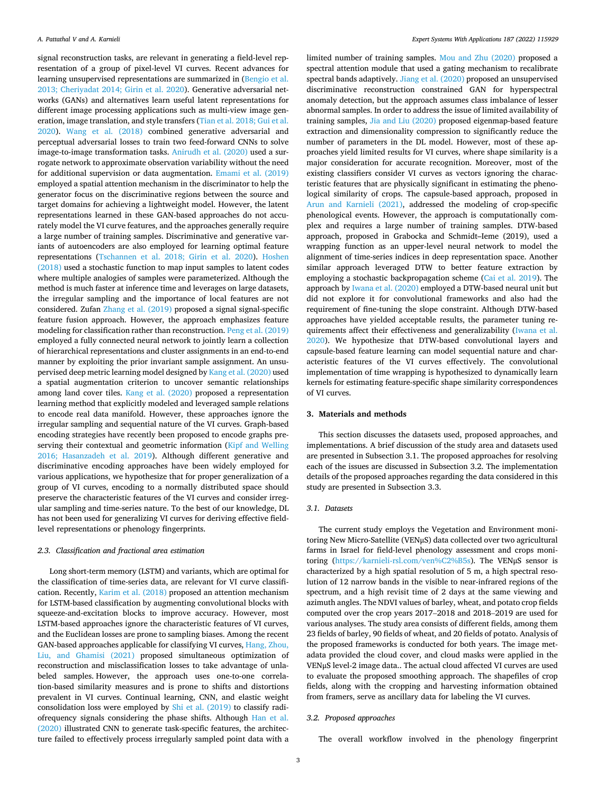signal reconstruction tasks, are relevant in generating a field-level representation of a group of pixel-level VI curves. Recent advances for learning unsupervised representations are summarized in ([Bengio et al.](#page-15-0)  [2013; Cheriyadat 2014; Girin et al. 2020](#page-15-0)). Generative adversarial networks (GANs) and alternatives learn useful latent representations for different image processing applications such as multi-view image generation, image translation, and style transfers ([Tian et al. 2018; Gui et al.](#page-16-0)  [2020\)](#page-16-0). [Wang et al. \(2018\)](#page-16-0) combined generative adversarial and perceptual adversarial losses to train two feed-forward CNNs to solve image-to-image transformation tasks. [Anirudh et al. \(2020\)](#page-14-0) used a surrogate network to approximate observation variability without the need for additional supervision or data augmentation. [Emami et al. \(2019\)](#page-15-0)  employed a spatial attention mechanism in the discriminator to help the generator focus on the discriminative regions between the source and target domains for achieving a lightweight model. However, the latent representations learned in these GAN-based approaches do not accurately model the VI curve features, and the approaches generally require a large number of training samples. Discriminative and generative variants of autoencoders are also employed for learning optimal feature representations ([Tschannen et al. 2018; Girin et al. 2020\)](#page-16-0). [Hoshen](#page-15-0)  [\(2018\)](#page-15-0) used a stochastic function to map input samples to latent codes where multiple analogies of samples were parameterized. Although the method is much faster at inference time and leverages on large datasets, the irregular sampling and the importance of local features are not considered. Zufan [Zhang et al. \(2019\)](#page-16-0) proposed a signal signal-specific feature fusion approach. However, the approach emphasizes feature modeling for classification rather than reconstruction. [Peng et al. \(2019\)](#page-15-0)  employed a fully connected neural network to jointly learn a collection of hierarchical representations and cluster assignments in an end-to-end manner by exploiting the prior invariant sample assignment. An unsupervised deep metric learning model designed by [Kang et al. \(2020\)](#page-15-0) used a spatial augmentation criterion to uncover semantic relationships among land cover tiles. [Kang et al. \(2020\)](#page-15-0) proposed a representation learning method that explicitly modeled and leveraged sample relations to encode real data manifold. However, these approaches ignore the irregular sampling and sequential nature of the VI curves. Graph-based encoding strategies have recently been proposed to encode graphs preserving their contextual and geometric information ([Kipf and Welling](#page-15-0)  [2016; Hasanzadeh et al. 2019\)](#page-15-0). Although different generative and discriminative encoding approaches have been widely employed for various applications, we hypothesize that for proper generalization of a group of VI curves, encoding to a normally distributed space should preserve the characteristic features of the VI curves and consider irregular sampling and time-series nature. To the best of our knowledge, DL has not been used for generalizing VI curves for deriving effective fieldlevel representations or phenology fingerprints.

## *2.3. Classification and fractional area estimation*

Long short-term memory (LSTM) and variants, which are optimal for the classification of time-series data, are relevant for VI curve classification. Recently, [Karim et al. \(2018\)](#page-15-0) proposed an attention mechanism for LSTM-based classification by augmenting convolutional blocks with squeeze-and-excitation blocks to improve accuracy. However, most LSTM-based approaches ignore the characteristic features of VI curves, and the Euclidean losses are prone to sampling biases. Among the recent GAN-based approaches applicable for classifying VI curves, [Hang, Zhou,](#page-15-0)  [Liu, and Ghamisi \(2021\)](#page-15-0) proposed simultaneous optimization of reconstruction and misclassification losses to take advantage of unlabeled samples. However, the approach uses one-to-one correlation-based similarity measures and is prone to shifts and distortions prevalent in VI curves. Continual learning, CNN, and elastic weight consolidation loss were employed by [Shi et al. \(2019\)](#page-16-0) to classify radiofrequency signals considering the phase shifts. Although [Han et al.](#page-15-0)  [\(2020\)](#page-15-0) illustrated CNN to generate task-specific features, the architecture failed to effectively process irregularly sampled point data with a

limited number of training samples. [Mou and Zhu \(2020\)](#page-15-0) proposed a spectral attention module that used a gating mechanism to recalibrate spectral bands adaptively. [Jiang et al. \(2020\)](#page-15-0) proposed an unsupervised discriminative reconstruction constrained GAN for hyperspectral anomaly detection, but the approach assumes class imbalance of lesser abnormal samples. In order to address the issue of limited availability of training samples, [Jia and Liu \(2020\)](#page-15-0) proposed eigenmap-based feature extraction and dimensionality compression to significantly reduce the number of parameters in the DL model. However, most of these approaches yield limited results for VI curves, where shape similarity is a major consideration for accurate recognition. Moreover, most of the existing classifiers consider VI curves as vectors ignoring the characteristic features that are physically significant in estimating the phenological similarity of crops. The capsule-based approach, proposed in [Arun and Karnieli \(2021\),](#page-15-0) addressed the modeling of crop-specific phenological events. However, the approach is computationally complex and requires a large number of training samples. DTW-based approach, proposed in Grabocka and Schmidt–Ieme (2019), used a wrapping function as an upper-level neural network to model the alignment of time-series indices in deep representation space. Another similar approach leveraged DTW to better feature extraction by employing a stochastic backpropagation scheme ([Cai et al. 2019\)](#page-15-0). The approach by [Iwana et al. \(2020\)](#page-15-0) employed a DTW-based neural unit but did not explore it for convolutional frameworks and also had the requirement of fine-tuning the slope constraint. Although DTW-based approaches have yielded acceptable results, the parameter tuning requirements affect their effectiveness and generalizability [\(Iwana et al.](#page-15-0)  [2020\)](#page-15-0). We hypothesize that DTW-based convolutional layers and capsule-based feature learning can model sequential nature and characteristic features of the VI curves effectively. The convolutional implementation of time wrapping is hypothesized to dynamically learn kernels for estimating feature-specific shape similarity correspondences of VI curves.

#### **3. Materials and methods**

This section discusses the datasets used, proposed approaches, and implementations. A brief discussion of the study area and datasets used are presented in Subsection 3.1. The proposed approaches for resolving each of the issues are discussed in Subsection 3.2. The implementation details of the proposed approaches regarding the data considered in this study are presented in Subsection 3.3.

## *3.1. Datasets*

The current study employs the Vegetation and Environment monitoring New Micro-Satellite (VENμS) data collected over two agricultural farms in Israel for field-level phenology assessment and crops monitoring [\(https://karnieli-rsl.com/ven%C2%B5s](https://karnieli-rsl.com/ven%25C2%25B5s)). The VENμS sensor is characterized by a high spatial resolution of 5 m, a high spectral resolution of 12 narrow bands in the visible to near-infrared regions of the spectrum, and a high revisit time of 2 days at the same viewing and azimuth angles. The NDVI values of barley, wheat, and potato crop fields computed over the crop years 2017–2018 and 2018–2019 are used for various analyses. The study area consists of different fields, among them 23 fields of barley, 90 fields of wheat, and 20 fields of potato. Analysis of the proposed frameworks is conducted for both years. The image metadata provided the cloud cover, and cloud masks were applied in the VENμS level-2 image data.. The actual cloud affected VI curves are used to evaluate the proposed smoothing approach. The shapefiles of crop fields, along with the cropping and harvesting information obtained from framers, serve as ancillary data for labeling the VI curves.

## *3.2. Proposed approaches*

The overall workflow involved in the phenology fingerprint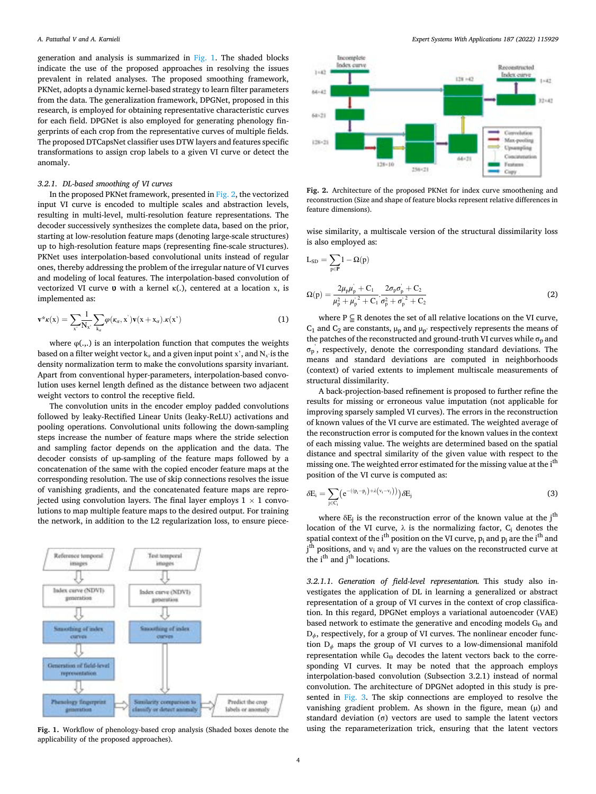<span id="page-3-0"></span>generation and analysis is summarized in Fig. 1. The shaded blocks indicate the use of the proposed approaches in resolving the issues prevalent in related analyses. The proposed smoothing framework, PKNet, adopts a dynamic kernel-based strategy to learn filter parameters from the data. The generalization framework, DPGNet, proposed in this research, is employed for obtaining representative characteristic curves for each field. DPGNet is also employed for generating phenology fingerprints of each crop from the representative curves of multiple fields. The proposed DTCapsNet classifier uses DTW layers and features specific transformations to assign crop labels to a given VI curve or detect the anomaly.

## *3.2.1. DL-based smoothing of VI curves*

In the proposed PKNet framework, presented in Fig. 2, the vectorized input VI curve is encoded to multiple scales and abstraction levels, resulting in multi-level, multi-resolution feature representations. The decoder successively synthesizes the complete data, based on the prior, starting at low-resolution feature maps (denoting large-scale structures) up to high-resolution feature maps (representing fine-scale structures). PKNet uses interpolation-based convolutional units instead of regular ones, thereby addressing the problem of the irregular nature of VI curves and modeling of local features. The interpolation-based convolution of vectorized VI curve  $\upsilon$  with a kernel  $\kappa(.)$ , centered at a location x, is implemented as:

$$
\mathbf{v}^* \kappa(\mathbf{x}) = \sum_{\mathbf{x}'} \frac{1}{N_{\mathbf{x}}} \sum_{\mathbf{k}_{\alpha}} \varphi(\kappa_{\alpha}, \mathbf{x}^{\cdot}) \mathbf{v}(\mathbf{x} + \mathbf{x}_{\alpha}) \cdot \kappa(\mathbf{x}^{\cdot})
$$
(1)

where  $\varphi$ (...) is an interpolation function that computes the weights based on a filter weight vector k<sub>α</sub> and a given input point x', and N<sub>x</sub> is the density normalization term to make the convolutions sparsity invariant. Apart from conventional hyper-parameters, interpolation-based convolution uses kernel length defined as the distance between two adjacent weight vectors to control the receptive field.

The convolution units in the encoder employ padded convolutions followed by leaky-Rectified Linear Units (leaky-ReLU) activations and pooling operations. Convolutional units following the down-sampling steps increase the number of feature maps where the stride selection and sampling factor depends on the application and the data. The decoder consists of up-sampling of the feature maps followed by a concatenation of the same with the copied encoder feature maps at the corresponding resolution. The use of skip connections resolves the issue of vanishing gradients, and the concatenated feature maps are reprojected using convolution layers. The final layer employs  $1 \times 1$  convolutions to map multiple feature maps to the desired output. For training the network, in addition to the L2 regularization loss, to ensure piece-



applicability of the proposed approaches).



**Fig. 2.** Architecture of the proposed PKNet for index curve smoothening and reconstruction (Size and shape of feature blocks represent relative differences in feature dimensions).

wise similarity, a multiscale version of the structural dissimilarity loss is also employed as:

$$
L_{SD} = \sum_{p \in \mathbf{P}} 1 - \Omega(p)
$$
  

$$
\Omega(p) = \frac{2\mu_p \mu_p^{\dot{\ }} + C_1}{\mu_p^2 + \mu_p^2 + C_1} \cdot \frac{2\sigma_p \sigma_p^2 + C_2}{\sigma_p^2 + \sigma_p^2 + C_2}
$$
 (2)

where  $P \subseteq R$  denotes the set of all relative locations on the VI curve,  $C_1$  and  $C_2$  are constants,  $\mu_p$  and  $\mu_p$ ' respectively represents the means of the patches of the reconstructed and ground-truth VI curves while  $\sigma_p$  and  $\sigma_p$ , respectively, denote the corresponding standard deviations. The means and standard deviations are computed in neighborhoods (context) of varied extents to implement multiscale measurements of structural dissimilarity.

A back-projection-based refinement is proposed to further refine the results for missing or erroneous value imputation (not applicable for improving sparsely sampled VI curves). The errors in the reconstruction of known values of the VI curve are estimated. The weighted average of the reconstruction error is computed for the known values in the context of each missing value. The weights are determined based on the spatial distance and spectral similarity of the given value with respect to the missing one. The weighted error estimated for the missing value at the i<sup>th</sup> position of the VI curve is computed as:

$$
\delta E_i = \sum_{j \in C_i} \left( e^{-(\left(p_i - p_j\right) + \lambda \left(v_i - v_j\right)\right)} \delta E_j \tag{3}
$$

where  $\delta E_j$  is the reconstruction error of the known value at the j<sup>th</sup> location of the VI curve,  $\lambda$  is the normalizing factor,  $C_i$  denotes the spatial context of the i<sup>th</sup> position on the VI curve,  $p_i$  and  $p_j$  are the i<sup>th</sup> and j<sup>th</sup> positions, and v<sub>i</sub> and v<sub>j</sub> are the values on the reconstructed curve at the i<sup>th</sup> and j<sup>th</sup> locations.

*3.2.1.1. Generation of field-level representation.* This study also investigates the application of DL in learning a generalized or abstract representation of a group of VI curves in the context of crop classification. In this regard, DPGNet employs a variational autoencoder (VAE) based network to estimate the generative and encoding models  $G_{\Theta}$  and D<sub>*ϕ*</sub>, respectively, for a group of VI curves. The nonlinear encoder function D*ϕ* maps the group of VI curves to a low-dimensional manifold representation while  $G_{\Theta}$  decodes the latent vectors back to the corresponding VI curves. It may be noted that the approach employs interpolation-based convolution (Subsection 3.2.1) instead of normal convolution. The architecture of DPGNet adopted in this study is presented in [Fig. 3.](#page-4-0) The skip connections are employed to resolve the vanishing gradient problem. As shown in the figure, mean  $(\mu)$  and standard deviation (σ) vectors are used to sample the latent vectors **Fig. 1.** Workflow of phenology-based crop analysis (Shaded boxes denote the using the reparameterization trick, ensuring that the latent vectors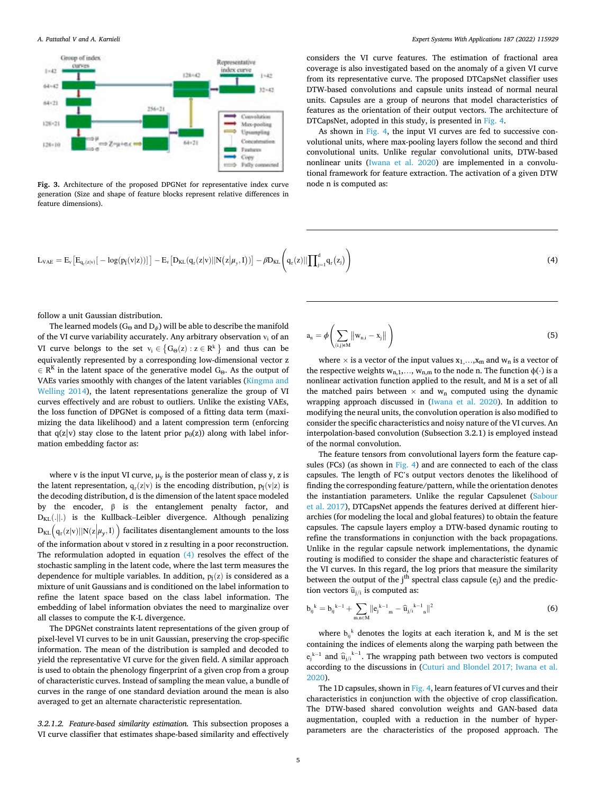<span id="page-4-0"></span>

**Fig. 3.** Architecture of the proposed DPGNet for representative index curve generation (Size and shape of feature blocks represent relative differences in feature dimensions).

considers the VI curve features. The estimation of fractional area coverage is also investigated based on the anomaly of a given VI curve from its representative curve. The proposed DTCapsNet classifier uses DTW-based convolutions and capsule units instead of normal neural units. Capsules are a group of neurons that model characteristics of features as the orientation of their output vectors. The architecture of DTCapsNet, adopted in this study, is presented in [Fig. 4.](#page-5-0)

As shown in [Fig. 4,](#page-5-0) the input VI curves are fed to successive convolutional units, where max-pooling layers follow the second and third convolutional units. Unlike regular convolutional units, DTW-based nonlinear units ([Iwana et al. 2020\)](#page-15-0) are implemented in a convolutional framework for feature extraction. The activation of a given DTW node n is computed as:

$$
L_{VAE} = E_v \big[ E_{q_r(z|v)} [-\log(p_{\tilde{I}}(v|z))] \big] - E_v \big[ D_{KL}(q_r(z|v) || N(z|\mu_y, I)) \big] - \beta D_{KL} \bigg( q_r(z) || \prod\nolimits_{j=1}^d q_r(z_j) \bigg) \tag{4}
$$

follow a unit Gaussian distribution.

The learned models ( $G_{\Theta}$  and  $D_{\phi}$ ) will be able to describe the manifold of the VI curve variability accurately. Any arbitrary observation  $v_i$  of an VI curve belongs to the set  $v_i \in \{G_\Theta(z) : z \in \mathbb{R}^k\}$  and thus can be equivalently represented by a corresponding low-dimensional vector z  $E \in \mathbb{R}^K$  in the latent space of the generative model G<sub>Θ</sub>. As the output of VAEs varies smoothly with changes of the latent variables [\(Kingma and](#page-15-0)  [Welling 2014](#page-15-0)), the latent representations generalize the group of VI curves effectively and are robust to outliers. Unlike the existing VAEs, the loss function of DPGNet is composed of a fitting data term (maximizing the data likelihood) and a latent compression term (enforcing that  $q(z|v)$  stay close to the latent prior  $p_{\theta}(z)$ ) along with label information embedding factor as:

where v is the input VI curve,  $\mu$ <sup>y</sup> is the posterior mean of class y, z is the latent representation,  $q_r(z|v)$  is the encoding distribution,  $p_{\tilde{I}}(v|z)$  is the decoding distribution, d is the dimension of the latent space modeled by the encoder, β is the entanglement penalty factor, and  $D_{KL}$ (.||.) is the Kullback–Leibler divergence. Although penalizing  $D_{KL}(q_r(z|v)||N(z|\mu_y, I))$  facilitates disentanglement amounts to the loss of the information about v stored in z resulting in a poor reconstruction. The reformulation adopted in equation (4) resolves the effect of the stochastic sampling in the latent code, where the last term measures the dependence for multiple variables. In addition,  $p_{\tilde{I}}(z)$  is considered as a mixture of unit Gaussians and is conditioned on the label information to refine the latent space based on the class label information. The embedding of label information obviates the need to marginalize over all classes to compute the K-L divergence.

The DPGNet constraints latent representations of the given group of pixel-level VI curves to be in unit Gaussian, preserving the crop-specific information. The mean of the distribution is sampled and decoded to yield the representative VI curve for the given field. A similar approach is used to obtain the phenology fingerprint of a given crop from a group of characteristic curves. Instead of sampling the mean value, a bundle of curves in the range of one standard deviation around the mean is also averaged to get an alternate characteristic representation.

*3.2.1.2. Feature-based similarity estimation.* This subsection proposes a VI curve classifier that estimates shape-based similarity and effectively

$$
a_n = \phi\left(\sum_{(i,j)\in M} \left\|w_{n,i} - x_j\right\|\right) \tag{5}
$$

where  $\times$  is a vector of the input values  $\mathbf{x}_1, ..., \mathbf{x}_m$  and  $\mathbf{w}_n$  is a vector of the respective weights  $w_{n,1},..., w_{n,m}$  to the node n. The function  $\phi(\cdot)$  is a nonlinear activation function applied to the result, and M is a set of all the matched pairs between  $\times$  and  $w_n$  computed using the dynamic wrapping approach discussed in [\(Iwana et al. 2020](#page-15-0)). In addition to modifying the neural units, the convolution operation is also modified to consider the specific characteristics and noisy nature of the VI curves. An interpolation-based convolution (Subsection 3.2.1) is employed instead of the normal convolution.

The feature tensors from convolutional layers form the feature capsules (FCs) (as shown in [Fig. 4\)](#page-5-0) and are connected to each of the class capsules. The length of FC's output vectors denotes the likelihood of finding the corresponding feature/pattern, while the orientation denotes the instantiation parameters. Unlike the regular Capsulenet [\(Sabour](#page-16-0)  [et al. 2017\)](#page-16-0), DTCapsNet appends the features derived at different hierarchies (for modeling the local and global features) to obtain the feature capsules. The capsule layers employ a DTW-based dynamic routing to refine the transformations in conjunction with the back propagations. Unlike in the regular capsule network implementations, the dynamic routing is modified to consider the shape and characteristic features of the VI curves. In this regard, the log priors that measure the similarity between the output of the j<sup>th</sup> spectral class capsule  $(e_i)$  and the prediction vectors  $\widehat{u}_{j/i}$  is computed as:

$$
b_{ij}^{k} = b_{ij}^{k-1} + \sum_{m,n \in M} \|e_j^{k-1}{}_{m} - \widehat{u}_{j/i}^{k-1}{}_{n}\|^2
$$
 (6)

where  $b_{ij}$ <sup>k</sup> denotes the logits at each iteration k, and M is the set containing the indices of elements along the warping path between the e<sub>j</sub><sup>k-1</sup> and  $\widehat{u}_{j/i}^{k-1}$ . The wrapping path between two vectors is computed according to the discussions in [\(Cuturi and Blondel 2017; Iwana et al.](#page-15-0)  [2020\)](#page-15-0).

The 1D capsules, shown in [Fig. 4,](#page-5-0) learn features of VI curves and their characteristics in conjunction with the objective of crop classification. The DTW-based shared convolution weights and GAN-based data augmentation, coupled with a reduction in the number of hyperparameters are the characteristics of the proposed approach. The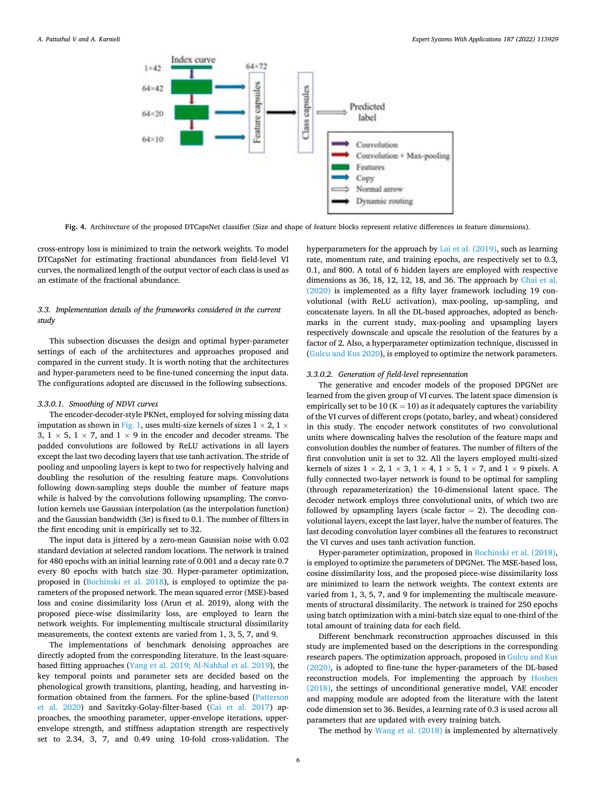<span id="page-5-0"></span>

**Fig. 4.** Architecture of the proposed DTCapsNet classifier (Size and shape of feature blocks represent relative differences in feature dimensions).

cross-entropy loss is minimized to train the network weights. To model DTCapsNet for estimating fractional abundances from field-level VI curves, the normalized length of the output vector of each class is used as an estimate of the fractional abundance.

# *3.3. Implementation details of the frameworks considered in the current study*

This subsection discusses the design and optimal hyper-parameter settings of each of the architectures and approaches proposed and compared in the current study. It is worth noting that the architectures and hyper-parameters need to be fine-tuned concerning the input data. The configurations adopted are discussed in the following subsections.

## *3.3.0.1. Smoothing of NDVI curves*

The encoder-decoder-style PKNet, employed for solving missing data imputation as shown in [Fig. 1](#page-3-0), uses multi-size kernels of sizes  $1 \times 2$ ,  $1 \times$ 3,  $1 \times 5$ ,  $1 \times 7$ , and  $1 \times 9$  in the encoder and decoder streams. The padded convolutions are followed by ReLU activations in all layers except the last two decoding layers that use tanh activation. The stride of pooling and unpooling layers is kept to two for respectively halving and doubling the resolution of the resulting feature maps. Convolutions following down-sampling steps double the number of feature maps while is halved by the convolutions following upsampling. The convolution kernels use Gaussian interpolation (as the interpolation function) and the Gaussian bandwidth (3 $\sigma$ ) is fixed to 0.1. The number of filters in the first encoding unit is empirically set to 32.

The input data is jittered by a zero-mean Gaussian noise with 0.02 standard deviation at selected random locations. The network is trained for 480 epochs with an initial learning rate of 0.001 and a decay rate 0.7 every 80 epochs with batch size 30. Hyper-parameter optimization, proposed in [\(Bochinski et al. 2018\)](#page-15-0), is employed to optimize the parameters of the proposed network. The mean squared error (MSE)-based loss and cosine dissimilarity loss (Arun et al. 2019), along with the proposed piece-wise dissimilarity loss, are employed to learn the network weights. For implementing multiscale structural dissimilarity measurements, the context extents are varied from 1, 3, 5, 7, and 9.

The implementations of benchmark denoising approaches are directly adopted from the corresponding literature. In the least-squarebased fitting approaches ([Yang et al. 2019; Al-Nahhal et al. 2019\)](#page-16-0), the key temporal points and parameter sets are decided based on the phenological growth transitions, planting, heading, and harvesting information obtained from the farmers. For the spline-based ([Patterson](#page-15-0)  [et al. 2020\)](#page-15-0) and Savitzky-Golay-filter-based ([Cai et al. 2017\)](#page-15-0) approaches, the smoothing parameter, upper-envelope iterations, upperenvelope strength, and stiffness adaptation strength are respectively set to 2.34, 3, 7, and 0.49 using 10-fold cross-validation. The

hyperparameters for the approach by [Lai et al. \(2019\)](#page-15-0), such as learning rate, momentum rate, and training epochs, are respectively set to 0.3, 0.1, and 800. A total of 6 hidden layers are employed with respective dimensions as 36, 18, 12, 12, 18, and 36. The approach by [Chai et al.](#page-15-0)  [\(2020\)](#page-15-0) is implemented as a fifty layer framework including 19 convolutional (with ReLU activation), max-pooling, up-sampling, and concatenate layers. In all the DL-based approaches, adopted as benchmarks in the current study, max-pooling and upsampling layers respectively downscale and upscale the resolution of the features by a factor of 2. Also, a hyperparameter optimization technique, discussed in ([Gulcu and Kus 2020\)](#page-15-0), is employed to optimize the network parameters.

#### *3.3.0.2. Generation of field-level representation*

The generative and encoder models of the proposed DPGNet are learned from the given group of VI curves. The latent space dimension is empirically set to be 10 ( $K = 10$ ) as it adequately captures the variability of the VI curves of different crops (potato, barley, and wheat) considered in this study. The encoder network constitutes of two convolutional units where downscaling halves the resolution of the feature maps and convolution doubles the number of features. The number of filters of the first convolution unit is set to 32. All the layers employed multi-sized kernels of sizes  $1 \times 2$ ,  $1 \times 3$ ,  $1 \times 4$ ,  $1 \times 5$ ,  $1 \times 7$ , and  $1 \times 9$  pixels. A fully connected two-layer network is found to be optimal for sampling (through reparameterization) the 10-dimensional latent space. The decoder network employs three convolutional units, of which two are followed by upsampling layers (scale factor  $= 2$ ). The decoding convolutional layers, except the last layer, halve the number of features. The last decoding convolution layer combines all the features to reconstruct the VI curves and uses tanh activation function.

Hyper-parameter optimization, proposed in [Bochinski et al. \(2018\)](#page-15-0), is employed to optimize the parameters of DPGNet. The MSE-based loss, cosine dissimilarity loss, and the proposed piece-wise dissimilarity loss are minimized to learn the network weights. The context extents are varied from 1, 3, 5, 7, and 9 for implementing the multiscale measurements of structural dissimilarity. The network is trained for 250 epochs using batch optimization with a mini-batch size equal to one-third of the total amount of training data for each field.

Different benchmark reconstruction approaches discussed in this study are implemented based on the descriptions in the corresponding research papers. The optimization approach, proposed in [Gulcu and Kus](#page-15-0)  [\(2020\),](#page-15-0) is adopted to fine-tune the hyper-parameters of the DL-based reconstruction models. For implementing the approach by [Hoshen](#page-15-0)  [\(2018\),](#page-15-0) the settings of unconditional generative model, VAE encoder and mapping module are adopted from the literature with the latent code dimension set to 36. Besides, a learning rate of 0.3 is used across all parameters that are updated with every training batch.

The method by [Wang et al. \(2018\)](#page-16-0) is implemented by alternatively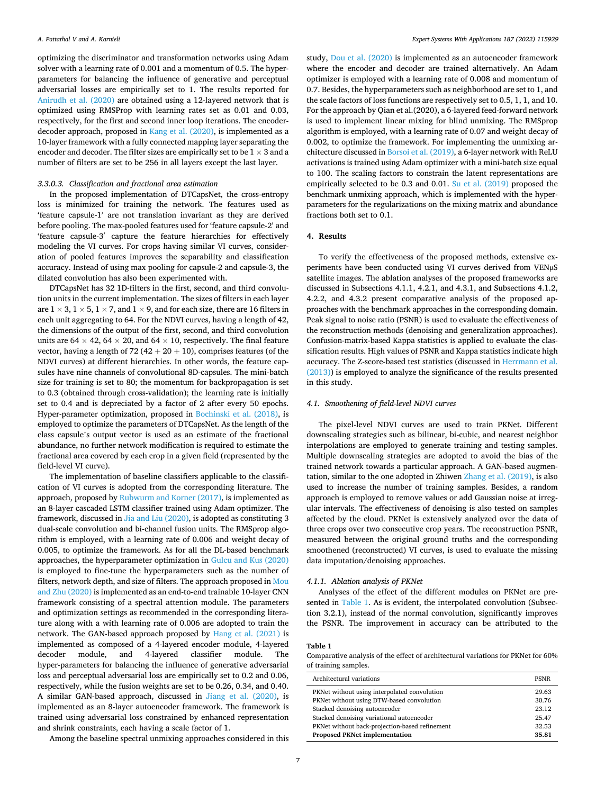optimizing the discriminator and transformation networks using Adam solver with a learning rate of 0.001 and a momentum of 0.5. The hyperparameters for balancing the influence of generative and perceptual adversarial losses are empirically set to 1. The results reported for [Anirudh et al. \(2020\)](#page-14-0) are obtained using a 12-layered network that is optimized using RMSProp with learning rates set as 0.01 and 0.03, respectively, for the first and second inner loop iterations. The encoderdecoder approach, proposed in [Kang et al. \(2020\),](#page-15-0) is implemented as a 10-layer framework with a fully connected mapping layer separating the encoder and decoder. The filter sizes are empirically set to be  $1 \times 3$  and a number of filters are set to be 256 in all layers except the last layer.

## *3.3.0.3. Classification and fractional area estimation*

In the proposed implementation of DTCapsNet, the cross-entropy loss is minimized for training the network. The features used as 'feature capsule-1′ are not translation invariant as they are derived before pooling. The max-pooled features used for 'feature capsule-2′ and 'feature capsule-3′ capture the feature hierarchies for effectively modeling the VI curves. For crops having similar VI curves, consideration of pooled features improves the separability and classification accuracy. Instead of using max pooling for capsule-2 and capsule-3, the dilated convolution has also been experimented with.

DTCapsNet has 32 1D-filters in the first, second, and third convolution units in the current implementation. The sizes of filters in each layer are  $1 \times 3$ ,  $1 \times 5$ ,  $1 \times 7$ , and  $1 \times 9$ , and for each size, there are 16 filters in each unit aggregating to 64. For the NDVI curves, having a length of 42, the dimensions of the output of the first, second, and third convolution units are  $64 \times 42$ ,  $64 \times 20$ , and  $64 \times 10$ , respectively. The final feature vector, having a length of 72 (42  $+$  20  $+$  10), comprises features (of the NDVI curves) at different hierarchies. In other words, the feature capsules have nine channels of convolutional 8D-capsules. The mini-batch size for training is set to 80; the momentum for backpropagation is set to 0.3 (obtained through cross-validation); the learning rate is initially set to 0.4 and is depreciated by a factor of 2 after every 50 epochs. Hyper-parameter optimization, proposed in [Bochinski et al. \(2018\),](#page-15-0) is employed to optimize the parameters of DTCapsNet. As the length of the class capsule's output vector is used as an estimate of the fractional abundance, no further network modification is required to estimate the fractional area covered by each crop in a given field (represented by the field-level VI curve).

The implementation of baseline classifiers applicable to the classification of VI curves is adopted from the corresponding literature. The approach, proposed by [Rubwurm and Korner \(2017\)](#page-16-0), is implemented as an 8-layer cascaded LSTM classifier trained using Adam optimizer. The framework, discussed in [Jia and Liu \(2020\),](#page-15-0) is adopted as constituting 3 dual-scale convolution and bi-channel fusion units. The RMSprop algorithm is employed, with a learning rate of 0.006 and weight decay of 0.005, to optimize the framework. As for all the DL-based benchmark approaches, the hyperparameter optimization in [Gulcu and Kus \(2020\)](#page-15-0)  is employed to fine-tune the hyperparameters such as the number of filters, network depth, and size of filters. The approach proposed in [Mou](#page-15-0)  [and Zhu \(2020\)](#page-15-0) is implemented as an end-to-end trainable 10-layer CNN framework consisting of a spectral attention module. The parameters and optimization settings as recommended in the corresponding literature along with a with learning rate of 0.006 are adopted to train the network. The GAN-based approach proposed by [Hang et al. \(2021\)](#page-15-0) is implemented as composed of a 4-layered encoder module, 4-layered decoder module, and 4-layered classifier module. The hyper-parameters for balancing the influence of generative adversarial loss and perceptual adversarial loss are empirically set to 0.2 and 0.06, respectively, while the fusion weights are set to be 0.26, 0.34, and 0.40. A similar GAN-based approach, discussed in [Jiang et al. \(2020\),](#page-15-0) is implemented as an 8-layer autoencoder framework. The framework is trained using adversarial loss constrained by enhanced representation and shrink constraints, each having a scale factor of 1.

Among the baseline spectral unmixing approaches considered in this

study, [Dou et al. \(2020\)](#page-15-0) is implemented as an autoencoder framework where the encoder and decoder are trained alternatively. An Adam optimizer is employed with a learning rate of 0.008 and momentum of 0.7. Besides, the hyperparameters such as neighborhood are set to 1, and the scale factors of loss functions are respectively set to 0.5, 1, 1, and 10. For the approach by Qian et al.(2020), a 6-layered feed-forward network is used to implement linear mixing for blind unmixing. The RMSprop algorithm is employed, with a learning rate of 0.07 and weight decay of 0.002, to optimize the framework. For implementing the unmixing architecture discussed in [Borsoi et al. \(2019\),](#page-15-0) a 6-layer network with ReLU activations is trained using Adam optimizer with a mini-batch size equal to 100. The scaling factors to constrain the latent representations are empirically selected to be 0.3 and 0.01. [Su et al. \(2019\)](#page-16-0) proposed the benchmark unmixing approach, which is implemented with the hyperparameters for the regularizations on the mixing matrix and abundance fractions both set to 0.1.

## **4. Results**

To verify the effectiveness of the proposed methods, extensive experiments have been conducted using VI curves derived from VENµS satellite images. The ablation analyses of the proposed frameworks are discussed in Subsections 4.1.1, 4.2.1, and 4.3.1, and Subsections 4.1.2, 4.2.2, and 4.3.2 present comparative analysis of the proposed approaches with the benchmark approaches in the corresponding domain. Peak signal to noise ratio (PSNR) is used to evaluate the effectiveness of the reconstruction methods (denoising and generalization approaches). Confusion-matrix-based Kappa statistics is applied to evaluate the classification results. High values of PSNR and Kappa statistics indicate high accuracy. The Z-score-based test statistics (discussed in [Herrmann et al.](#page-15-0)  [\(2013\)\)](#page-15-0) is employed to analyze the significance of the results presented in this study.

## *4.1. Smoothening of field-level NDVI curves*

The pixel-level NDVI curves are used to train PKNet. Different downscaling strategies such as bilinear, bi-cubic, and nearest neighbor interpolations are employed to generate training and testing samples. Multiple downscaling strategies are adopted to avoid the bias of the trained network towards a particular approach. A GAN-based augmentation, similar to the one adopted in Zhiwen [Zhang et al. \(2019\),](#page-16-0) is also used to increase the number of training samples. Besides, a random approach is employed to remove values or add Gaussian noise at irregular intervals. The effectiveness of denoising is also tested on samples affected by the cloud. PKNet is extensively analyzed over the data of three crops over two consecutive crop years. The reconstruction PSNR, measured between the original ground truths and the corresponding smoothened (reconstructed) VI curves, is used to evaluate the missing data imputation/denoising approaches.

#### *4.1.1. Ablation analysis of PKNet*

Analyses of the effect of the different modules on PKNet are presented in Table 1. As is evident, the interpolated convolution (Subsection 3.2.1), instead of the normal convolution, significantly improves the PSNR. The improvement in accuracy can be attributed to the

#### **Table 1**

Comparative analysis of the effect of architectural variations for PKNet for 60% of training samples.

| Architectural variations                       | <b>PSNR</b> |
|------------------------------------------------|-------------|
| PKNet without using interpolated convolution   | 29.63       |
| PKNet without using DTW-based convolution      | 30.76       |
| Stacked denoising autoencoder                  | 23.12       |
| Stacked denoising variational autoencoder      | 25.47       |
| PKNet without back-projection-based refinement | 32.53       |
| <b>Proposed PKNet implementation</b>           | 35.81       |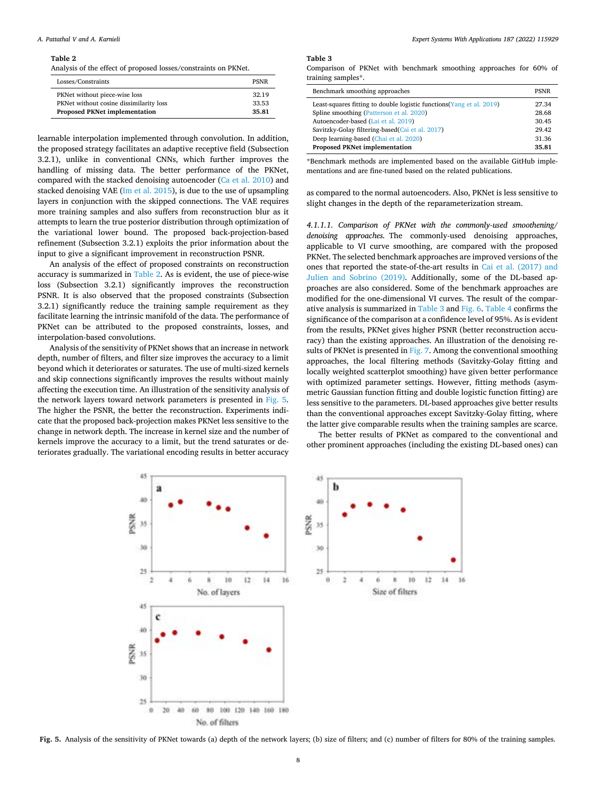#### *A. Pattathal V and A. Karnieli*

#### **Table 2**

Analysis of the effect of proposed losses/constraints on PKNet.

| Losses/Constraints                      | <b>PSNR</b> |
|-----------------------------------------|-------------|
| PKNet without piece-wise loss           | 32.19       |
| PKNet without cosine dissimilarity loss | 33.53       |
| <b>Proposed PKNet implementation</b>    | 35.81       |

learnable interpolation implemented through convolution. In addition, the proposed strategy facilitates an adaptive receptive field (Subsection 3.2.1), unlike in conventional CNNs, which further improves the handling of missing data. The better performance of the PKNet, compared with the stacked denoising autoencoder ([Ca et al. 2010](#page-15-0)) and stacked denoising VAE ([Im et al. 2015\)](#page-15-0), is due to the use of upsampling layers in conjunction with the skipped connections. The VAE requires more training samples and also suffers from reconstruction blur as it attempts to learn the true posterior distribution through optimization of the variational lower bound. The proposed back-projection-based refinement (Subsection 3.2.1) exploits the prior information about the input to give a significant improvement in reconstruction PSNR.

An analysis of the effect of proposed constraints on reconstruction accuracy is summarized in Table 2. As is evident, the use of piece-wise loss (Subsection 3.2.1) significantly improves the reconstruction PSNR. It is also observed that the proposed constraints (Subsection 3.2.1) significantly reduce the training sample requirement as they facilitate learning the intrinsic manifold of the data. The performance of PKNet can be attributed to the proposed constraints, losses, and interpolation-based convolutions.

Analysis of the sensitivity of PKNet shows that an increase in network depth, number of filters, and filter size improves the accuracy to a limit beyond which it deteriorates or saturates. The use of multi-sized kernels and skip connections significantly improves the results without mainly affecting the execution time. An illustration of the sensitivity analysis of the network layers toward network parameters is presented in Fig. 5. The higher the PSNR, the better the reconstruction. Experiments indicate that the proposed back-projection makes PKNet less sensitive to the change in network depth. The increase in kernel size and the number of kernels improve the accuracy to a limit, but the trend saturates or deteriorates gradually. The variational encoding results in better accuracy

#### **Table 3**

Comparison of PKNet with benchmark smoothing approaches for 60% of training samples\*.

| Benchmark smoothing approaches                                        | <b>PSNR</b> |
|-----------------------------------------------------------------------|-------------|
| Least-squares fitting to double logistic functions (Yang et al. 2019) | 27.34       |
| Spline smoothing (Patterson et al. 2020)                              | 28.68       |
| Autoencoder-based (Lai et al. 2019)                                   | 30.45       |
| Savitzky-Golay filtering-based(Cai et al. 2017)                       | 29.42       |
| Deep learning-based (Chai et al. 2020)                                | 31.36       |
| <b>Proposed PKNet implementation</b>                                  | 35.81       |

\*Benchmark methods are implemented based on the available GitHub implementations and are fine-tuned based on the related publications.

as compared to the normal autoencoders. Also, PKNet is less sensitive to slight changes in the depth of the reparameterization stream.

*4.1.1.1. Comparison of PKNet with the commonly-used smoothening/ denoising approaches.* The commonly-used denoising approaches, applicable to VI curve smoothing, are compared with the proposed PKNet. The selected benchmark approaches are improved versions of the ones that reported the state-of-the-art results in [Cai et al. \(2017\) and](#page-15-0)  [Julien and Sobrino \(2019\).](#page-15-0) Additionally, some of the DL-based approaches are also considered. Some of the benchmark approaches are modified for the one-dimensional VI curves. The result of the comparative analysis is summarized in Table 3 and [Fig. 6](#page-8-0). [Table 4](#page-8-0) confirms the significance of the comparison at a confidence level of 95%. As is evident from the results, PKNet gives higher PSNR (better reconstruction accuracy) than the existing approaches. An illustration of the denoising re-sults of PKNet is presented in [Fig. 7.](#page-9-0) Among the conventional smoothing approaches, the local filtering methods (Savitzky-Golay fitting and locally weighted scatterplot smoothing) have given better performance with optimized parameter settings. However, fitting methods (asymmetric Gaussian function fitting and double logistic function fitting) are less sensitive to the parameters. DL-based approaches give better results than the conventional approaches except Savitzky-Golay fitting, where the latter give comparable results when the training samples are scarce.

The better results of PKNet as compared to the conventional and other prominent approaches (including the existing DL-based ones) can



Fig. 5. Analysis of the sensitivity of PKNet towards (a) depth of the network layers; (b) size of filters; and (c) number of filters for 80% of the training samples.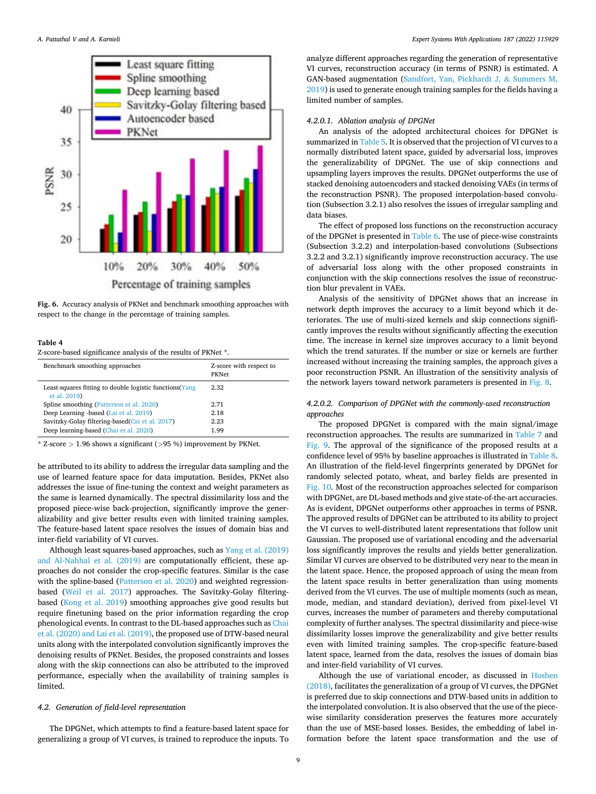<span id="page-8-0"></span>

**Fig. 6.** Accuracy analysis of PKNet and benchmark smoothing approaches with respect to the change in the percentage of training samples.

## **Table 4**

Z-score-based significance analysis of the results of PKNet \*.

| Benchmark smoothing approaches                                           | Z-score with respect to<br><b>PKNet</b> |
|--------------------------------------------------------------------------|-----------------------------------------|
| Least-squares fitting to double logistic functions (Yang<br>et al. 2019) | 2.32                                    |
| Spline smoothing (Patterson et al. 2020)                                 | 2.71                                    |
| Deep Learning -based (Lai et al. 2019)                                   | 2.18                                    |
| Savitzky-Golay filtering-based(Cai et al. 2017)                          | 2.23                                    |
| Deep learning-based (Chai et al. 2020)                                   | 1.99                                    |

\* Z-score *>* 1.96 shows a significant (*>*95 %) improvement by PKNet.

be attributed to its ability to address the irregular data sampling and the use of learned feature space for data imputation. Besides, PKNet also addresses the issue of fine-tuning the context and weight parameters as the same is learned dynamically. The spectral dissimilarity loss and the proposed piece-wise back-projection, significantly improve the generalizability and give better results even with limited training samples. The feature-based latent space resolves the issues of domain bias and inter-field variability of VI curves.

Although least squares-based approaches, such as [Yang et al. \(2019\)](#page-16-0)  [and Al-Nahhal et al. \(2019\)](#page-16-0) are computationally efficient, these approaches do not consider the crop-specific features. Similar is the case with the spline-based [\(Patterson et al. 2020\)](#page-15-0) and weighted regressionbased [\(Weil et al. 2017](#page-16-0)) approaches. The Savitzky-Golay filteringbased ([Kong et al. 2019](#page-15-0)) smoothing approaches give good results but require finetuning based on the prior information regarding the crop phenological events. In contrast to the DL-based approaches such as [Chai](#page-15-0)  [et al. \(2020\) and Lai et al. \(2019\),](#page-15-0) the proposed use of DTW-based neural units along with the interpolated convolution significantly improves the denoising results of PKNet. Besides, the proposed constraints and losses along with the skip connections can also be attributed to the improved performance, especially when the availability of training samples is limited.

## *4.2. Generation of field-level representation*

The DPGNet, which attempts to find a feature-based latent space for generalizing a group of VI curves, is trained to reproduce the inputs. To

analyze different approaches regarding the generation of representative VI curves, reconstruction accuracy (in terms of PSNR) is estimated. A GAN-based augmentation ([Sandfort, Yan, Pickhardt J,](#page-16-0) & Summers M, [2019\)](#page-16-0) is used to generate enough training samples for the fields having a limited number of samples.

#### *4.2.0.1. Ablation analysis of DPGNet*

An analysis of the adopted architectural choices for DPGNet is summarized in [Table 5](#page-9-0). It is observed that the projection of VI curves to a normally distributed latent space, guided by adversarial loss, improves the generalizability of DPGNet. The use of skip connections and upsampling layers improves the results. DPGNet outperforms the use of stacked denoising autoencoders and stacked denoising VAEs (in terms of the reconstruction PSNR). The proposed interpolation-based convolution (Subsection 3.2.1) also resolves the issues of irregular sampling and data biases.

The effect of proposed loss functions on the reconstruction accuracy of the DPGNet is presented in [Table 6](#page-9-0). The use of piece-wise constraints (Subsection 3.2.2) and interpolation-based convolutions (Subsections 3.2.2 and 3.2.1) significantly improve reconstruction accuracy. The use of adversarial loss along with the other proposed constraints in conjunction with the skip connections resolves the issue of reconstruction blur prevalent in VAEs.

Analysis of the sensitivity of DPGNet shows that an increase in network depth improves the accuracy to a limit beyond which it deteriorates. The use of multi-sized kernels and skip connections significantly improves the results without significantly affecting the execution time. The increase in kernel size improves accuracy to a limit beyond which the trend saturates. If the number or size or kernels are further increased without increasing the training samples, the approach gives a poor reconstruction PSNR. An illustration of the sensitivity analysis of the network layers toward network parameters is presented in [Fig. 8](#page-10-0).

# *4.2.0.2. Comparison of DPGNet with the commonly-used reconstruction approaches*

The proposed DPGNet is compared with the main signal/image reconstruction approaches. The results are summarized in [Table 7](#page-10-0) and [Fig. 9.](#page-10-0) The approval of the significance of the proposed results at a confidence level of 95% by baseline approaches is illustrated in [Table 8](#page-11-0). An illustration of the field-level fingerprints generated by DPGNet for randomly selected potato, wheat, and barley fields are presented in [Fig. 10](#page-11-0). Most of the reconstruction approaches selected for comparison with DPGNet, are DL-based methods and give state-of-the-art accuracies. As is evident, DPGNet outperforms other approaches in terms of PSNR. The approved results of DPGNet can be attributed to its ability to project the VI curves to well-distributed latent representations that follow unit Gaussian. The proposed use of variational encoding and the adversarial loss significantly improves the results and yields better generalization. Similar VI curves are observed to be distributed very near to the mean in the latent space. Hence, the proposed approach of using the mean from the latent space results in better generalization than using moments derived from the VI curves. The use of multiple moments (such as mean, mode, median, and standard deviation), derived from pixel-level VI curves, increases the number of parameters and thereby computational complexity of further analyses. The spectral dissimilarity and piece-wise dissimilarity losses improve the generalizability and give better results even with limited training samples. The crop-specific feature-based latent space, learned from the data, resolves the issues of domain bias and inter-field variability of VI curves.

Although the use of variational encoder, as discussed in [Hoshen](#page-15-0)  [\(2018\),](#page-15-0) facilitates the generalization of a group of VI curves, the DPGNet is preferred due to skip connections and DTW-based units in addition to the interpolated convolution. It is also observed that the use of the piecewise similarity consideration preserves the features more accurately than the use of MSE-based losses. Besides, the embedding of label information before the latent space transformation and the use of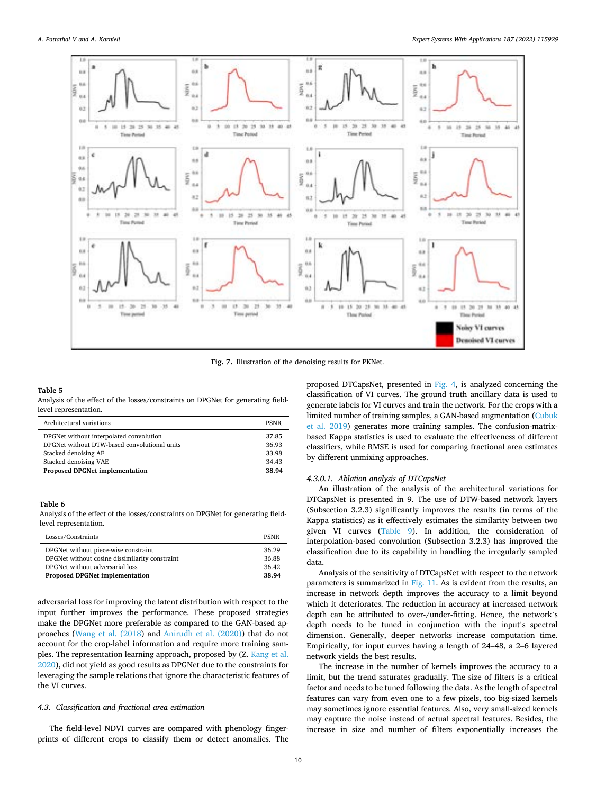<span id="page-9-0"></span>

**Fig. 7.** Illustration of the denoising results for PKNet.

#### **Table 5**

Analysis of the effect of the losses/constraints on DPGNet for generating fieldlevel representation.

| Architectural variations                     | <b>PSNR</b> |
|----------------------------------------------|-------------|
| DPGNet without interpolated convolution      | 37.85       |
| DPGNet without DTW-based convolutional units | 36.93       |
| Stacked denoising AE                         | 33.98       |
| Stacked denoising VAE                        | 34.43       |
| <b>Proposed DPGNet implementation</b>        | 38.94       |

## **Table 6**

Analysis of the effect of the losses/constraints on DPGNet for generating fieldlevel representation.

| Losses/Constraints                             | <b>PSNR</b> |
|------------------------------------------------|-------------|
| DPGNet without piece-wise constraint           | 36.29       |
| DPGNet without cosine dissimilarity constraint | 36.88       |
| DPGNet without adversarial loss                | 36.42       |
| <b>Proposed DPGNet implementation</b>          | 38.94       |

adversarial loss for improving the latent distribution with respect to the input further improves the performance. These proposed strategies make the DPGNet more preferable as compared to the GAN-based approaches [\(Wang et al. \(2018](#page-16-0)) and [Anirudh et al. \(2020\)\)](#page-14-0) that do not account for the crop-label information and require more training samples. The representation learning approach, proposed by (Z. [Kang et al.](#page-15-0)  [2020\)](#page-15-0), did not yield as good results as DPGNet due to the constraints for leveraging the sample relations that ignore the characteristic features of the VI curves.

## *4.3. Classification and fractional area estimation*

The field-level NDVI curves are compared with phenology fingerprints of different crops to classify them or detect anomalies. The proposed DTCapsNet, presented in [Fig. 4](#page-5-0), is analyzed concerning the classification of VI curves. The ground truth ancillary data is used to generate labels for VI curves and train the network. For the crops with a limited number of training samples, a GAN-based augmentation ([Cubuk](#page-15-0)  [et al. 2019](#page-15-0)) generates more training samples. The confusion-matrixbased Kappa statistics is used to evaluate the effectiveness of different classifiers, while RMSE is used for comparing fractional area estimates by different unmixing approaches.

## *4.3.0.1. Ablation analysis of DTCapsNet*

An illustration of the analysis of the architectural variations for DTCapsNet is presented in 9. The use of DTW-based network layers (Subsection 3.2.3) significantly improves the results (in terms of the Kappa statistics) as it effectively estimates the similarity between two given VI curves ([Table 9](#page-11-0)). In addition, the consideration of interpolation-based convolution (Subsection 3.2.3) has improved the classification due to its capability in handling the irregularly sampled data.

Analysis of the sensitivity of DTCapsNet with respect to the network parameters is summarized in [Fig. 11.](#page-12-0) As is evident from the results, an increase in network depth improves the accuracy to a limit beyond which it deteriorates. The reduction in accuracy at increased network depth can be attributed to over-/under-fitting. Hence, the network's depth needs to be tuned in conjunction with the input's spectral dimension. Generally, deeper networks increase computation time. Empirically, for input curves having a length of 24–48, a 2–6 layered network yields the best results.

The increase in the number of kernels improves the accuracy to a limit, but the trend saturates gradually. The size of filters is a critical factor and needs to be tuned following the data. As the length of spectral features can vary from even one to a few pixels, too big-sized kernels may sometimes ignore essential features. Also, very small-sized kernels may capture the noise instead of actual spectral features. Besides, the increase in size and number of filters exponentially increases the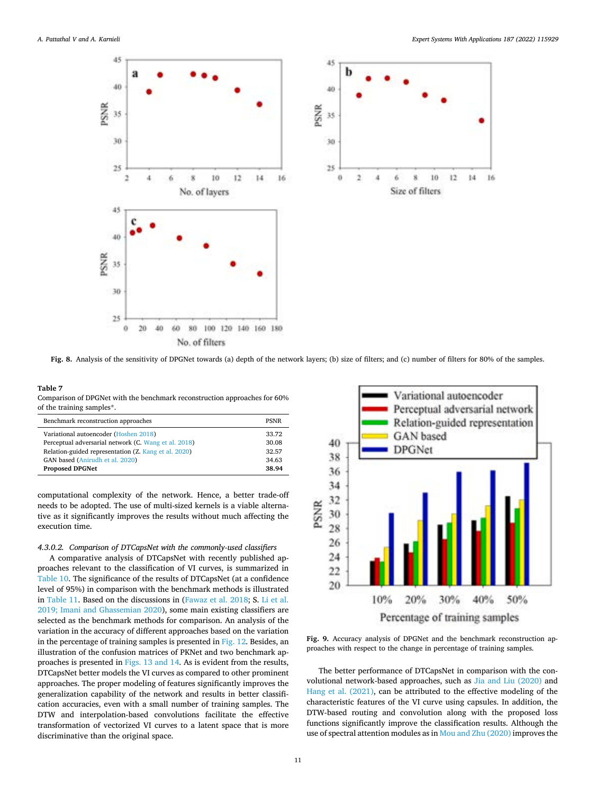<span id="page-10-0"></span>



**Fig. 8.** Analysis of the sensitivity of DPGNet towards (a) depth of the network layers; (b) size of filters; and (c) number of filters for 80% of the samples.

## **Table 7**

Comparison of DPGNet with the benchmark reconstruction approaches for 60% of the training samples\*.

| Benchmark reconstruction approaches                  | <b>PSNR</b> |
|------------------------------------------------------|-------------|
| Variational autoencoder (Hoshen 2018)                | 33.72       |
| Perceptual adversarial network (C. Wang et al. 2018) | 30.08       |
| Relation-guided representation (Z. Kang et al. 2020) | 32.57       |
| GAN based (Anirudh et al. 2020)                      | 34.63       |
| <b>Proposed DPGNet</b>                               | 38.94       |

computational complexity of the network. Hence, a better trade-off needs to be adopted. The use of multi-sized kernels is a viable alternative as it significantly improves the results without much affecting the execution time.

*4.3.0.2. Comparison of DTCapsNet with the commonly-used classifiers* 

A comparative analysis of DTCapsNet with recently published approaches relevant to the classification of VI curves, is summarized in [Table 10](#page-12-0). The significance of the results of DTCapsNet (at a confidence level of 95%) in comparison with the benchmark methods is illustrated in [Table 11](#page-12-0). Based on the discussions in ([Fawaz et al. 2018](#page-15-0); S. [Li et al.](#page-15-0)  [2019; Imani and Ghassemian 2020\)](#page-15-0), some main existing classifiers are selected as the benchmark methods for comparison. An analysis of the variation in the accuracy of different approaches based on the variation in the percentage of training samples is presented in [Fig. 12.](#page-12-0) Besides, an illustration of the confusion matrices of PKNet and two benchmark approaches is presented in [Figs. 13 and 14](#page-13-0). As is evident from the results, DTCapsNet better models the VI curves as compared to other prominent approaches. The proper modeling of features significantly improves the generalization capability of the network and results in better classification accuracies, even with a small number of training samples. The DTW and interpolation-based convolutions facilitate the effective transformation of vectorized VI curves to a latent space that is more discriminative than the original space.



**Fig. 9.** Accuracy analysis of DPGNet and the benchmark reconstruction approaches with respect to the change in percentage of training samples.

The better performance of DTCapsNet in comparison with the convolutional network-based approaches, such as [Jia and Liu \(2020\)](#page-15-0) and [Hang et al. \(2021\)](#page-15-0), can be attributed to the effective modeling of the characteristic features of the VI curve using capsules. In addition, the DTW-based routing and convolution along with the proposed loss functions significantly improve the classification results. Although the use of spectral attention modules as in [Mou and Zhu \(2020\)](#page-15-0) improves the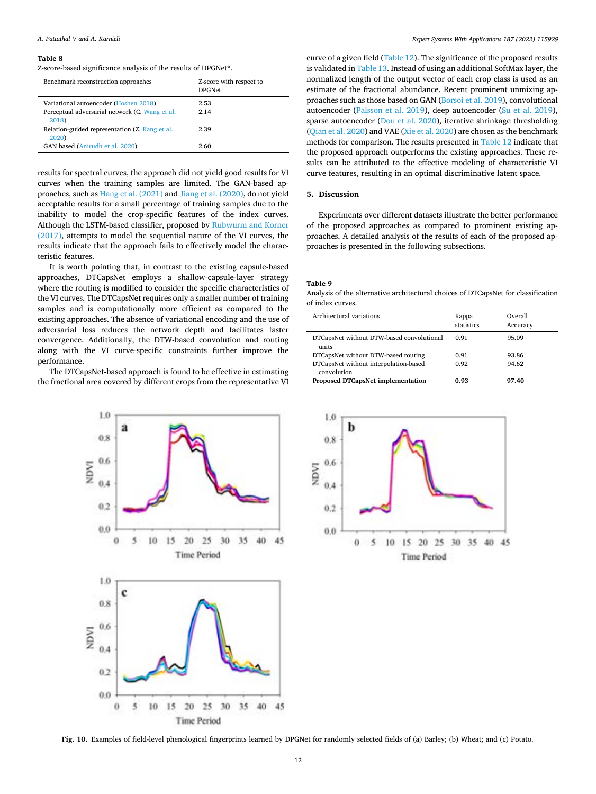### <span id="page-11-0"></span>*A. Pattathal V and A. Karnieli*

#### **Table 8**

Z-score-based significance analysis of the results of DPGNet\*.

| Benchmark reconstruction approaches                     | Z-score with respect to<br><b>DPGNet</b> |
|---------------------------------------------------------|------------------------------------------|
| Variational autoencoder (Hoshen 2018)                   | 2.53                                     |
| Perceptual adversarial network (C. Wang et al.<br>2018) | 2.14                                     |
| Relation-guided representation (Z. Kang et al.<br>2020) | 2.39                                     |
| GAN based (Anirudh et al. 2020)                         | 2.60                                     |

results for spectral curves, the approach did not yield good results for VI curves when the training samples are limited. The GAN-based approaches, such as [Hang et al. \(2021\)](#page-15-0) and [Jiang et al. \(2020\)](#page-15-0), do not yield acceptable results for a small percentage of training samples due to the inability to model the crop-specific features of the index curves. Although the LSTM-based classifier, proposed by [Rubwurm and Korner](#page-16-0)  [\(2017\),](#page-16-0) attempts to model the sequential nature of the VI curves, the results indicate that the approach fails to effectively model the characteristic features.

It is worth pointing that, in contrast to the existing capsule-based approaches, DTCapsNet employs a shallow-capsule-layer strategy where the routing is modified to consider the specific characteristics of the VI curves. The DTCapsNet requires only a smaller number of training samples and is computationally more efficient as compared to the existing approaches. The absence of variational encoding and the use of adversarial loss reduces the network depth and facilitates faster convergence. Additionally, the DTW-based convolution and routing along with the VI curve-specific constraints further improve the performance.

The DTCapsNet-based approach is found to be effective in estimating the fractional area covered by different crops from the representative VI



curve of a given field ([Table 12\)](#page-13-0). The significance of the proposed results is validated in [Table 13.](#page-13-0) Instead of using an additional SoftMax layer, the normalized length of the output vector of each crop class is used as an estimate of the fractional abundance. Recent prominent unmixing approaches such as those based on GAN [\(Borsoi et al. 2019](#page-15-0)), convolutional autoencoder [\(Palsson et al. 2019](#page-15-0)), deep autoencoder ([Su et al. 2019](#page-16-0)), sparse autoencoder ([Dou et al. 2020](#page-15-0)), iterative shrinkage thresholding ([Qian et al. 2020\)](#page-16-0) and VAE ([Xie et al. 2020](#page-16-0)) are chosen as the benchmark methods for comparison. The results presented in [Table 12](#page-13-0) indicate that the proposed approach outperforms the existing approaches. These results can be attributed to the effective modeling of characteristic VI curve features, resulting in an optimal discriminative latent space.

#### **5. Discussion**

Experiments over different datasets illustrate the better performance of the proposed approaches as compared to prominent existing approaches. A detailed analysis of the results of each of the proposed approaches is presented in the following subsections.

## **Table 9**

Analysis of the alternative architectural choices of DTCapsNet for classification of index curves.

| Architectural variations                             | Kappa<br>statistics | Overall<br>Accuracy |
|------------------------------------------------------|---------------------|---------------------|
| DTCapsNet without DTW-based convolutional<br>units   | 0.91                | 95.09               |
| DTCapsNet without DTW-based routing                  | 0.91                | 93.86               |
| DTCapsNet without interpolation-based<br>convolution | 0.92                | 94.62               |
| <b>Proposed DTCapsNet implementation</b>             | 0.93                | 97.40               |



**Fig. 10.** Examples of field-level phenological fingerprints learned by DPGNet for randomly selected fields of (a) Barley; (b) Wheat; and (c) Potato.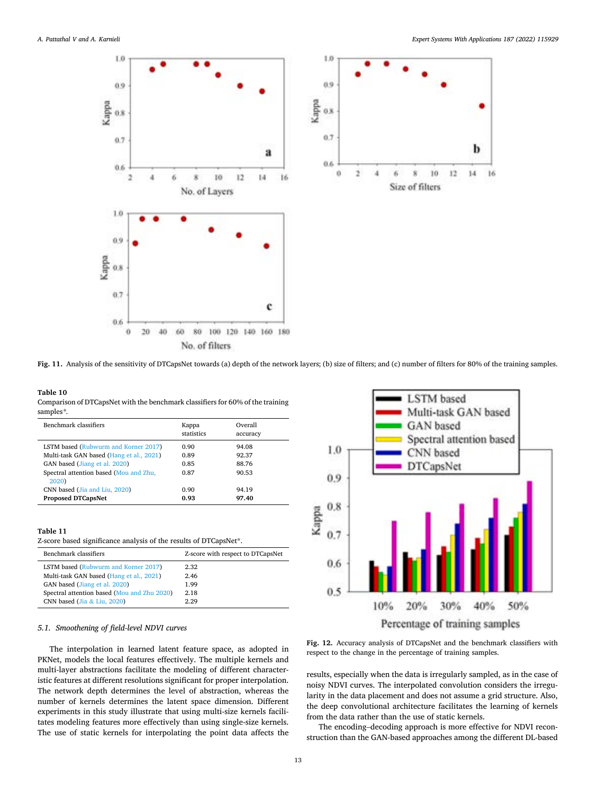ħ

14 16

10 12

<span id="page-12-0"></span>

**Fig. 11.** Analysis of the sensitivity of DTCapsNet towards (a) depth of the network layers; (b) size of filters; and (c) number of filters for 80% of the training samples.

## **Table 10**  Comparison of DTCapsNet with the benchmark classifiers for 60% of the training samples*\*.*

| Benchmark classifiers                           | Kappa<br>statistics | Overall<br>accuracy |  |
|-------------------------------------------------|---------------------|---------------------|--|
| <b>LSTM</b> based (Rubwurm and Korner 2017)     | 0.90                | 94.08               |  |
| Multi-task GAN based (Hang et al., 2021)        | 0.89                | 92.37               |  |
| GAN based (Jiang et al. 2020)                   | 0.85                | 88.76               |  |
| Spectral attention based (Mou and Zhu,<br>2020) | 0.87                | 90.53               |  |
| CNN based (Jia and Liu, 2020)                   | 0.90                | 94.19               |  |
| <b>Proposed DTCapsNet</b>                       | 0.93                | 97.40               |  |
|                                                 |                     |                     |  |

#### **Table 11**

| Z-score based significance analysis of the results of DTCapsNet*. |  |  |
|-------------------------------------------------------------------|--|--|
|-------------------------------------------------------------------|--|--|

| Benchmark classifiers                       | Z-score with respect to DTCapsNet |
|---------------------------------------------|-----------------------------------|
| LSTM based (Rubwurm and Korner 2017)        | 2.32                              |
| Multi-task GAN based (Hang et al., 2021)    | 2.46                              |
| GAN based (Jiang et al. 2020)               | 1.99                              |
| Spectral attention based (Mou and Zhu 2020) | 2.18                              |
| CNN based (Jia & Liu, $2020$ )              | 2.29                              |

## *5.1. Smoothening of field-level NDVI curves*

The interpolation in learned latent feature space, as adopted in PKNet, models the local features effectively. The multiple kernels and multi-layer abstractions facilitate the modeling of different characteristic features at different resolutions significant for proper interpolation. The network depth determines the level of abstraction, whereas the number of kernels determines the latent space dimension. Different experiments in this study illustrate that using multi-size kernels facilitates modeling features more effectively than using single-size kernels. The use of static kernels for interpolating the point data affects the



**Fig. 12.** Accuracy analysis of DTCapsNet and the benchmark classifiers with respect to the change in the percentage of training samples.

results, especially when the data is irregularly sampled, as in the case of noisy NDVI curves. The interpolated convolution considers the irregularity in the data placement and does not assume a grid structure. Also, the deep convolutional architecture facilitates the learning of kernels from the data rather than the use of static kernels.

The encoding–decoding approach is more effective for NDVI reconstruction than the GAN-based approaches among the different DL-based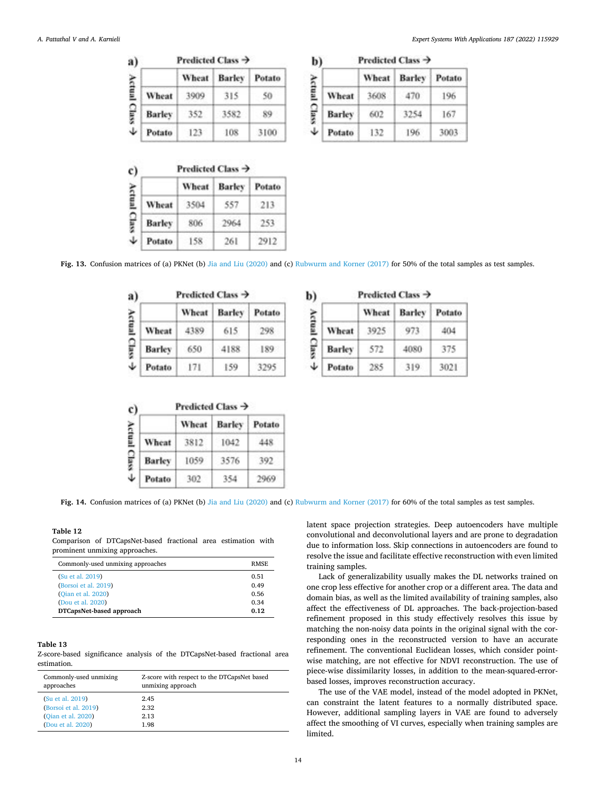<span id="page-13-0"></span>

| a) | Predicted Class $\rightarrow$ |       |               |        |
|----|-------------------------------|-------|---------------|--------|
|    |                               | Wheat | <b>Barley</b> | Potato |
|    | Wheat                         | 3909  | 315           | 50     |
|    | Barley                        | 352   | 3582          |        |
|    | Potato                        | 123   | 108           | 3100   |

|               | Predicted Class $\rightarrow$ |               |        |  |
|---------------|-------------------------------|---------------|--------|--|
|               | Wheat                         | <b>Barley</b> | Potato |  |
| Wheat         | 3504                          | 557           | 213    |  |
| <b>Barley</b> | 806                           | 2964          | 253    |  |
| Potato        | 158                           | 261           | 2912   |  |

*Expert Systems With Applications 187 (2022) 115929*

| Predicted Class ツ |       |        |        |
|-------------------|-------|--------|--------|
|                   | Wheat | Barley | Potato |
| Wheat             | 3608  | 470    | 196    |
| Barley            | 602   | 3254   | 167    |
| Potato            | 132   | 196    | 3003   |
|                   |       |        |        |

Constitution and constitutions

**Fig. 13.** Confusion matrices of (a) PKNet (b) [Jia and Liu \(2020\)](#page-15-0) and (c) [Rubwurm and Korner \(2017\)](#page-16-0) for 50% of the total samples as test samples.

|               | Predicted Class $\rightarrow$ |        |        |
|---------------|-------------------------------|--------|--------|
|               | Wheat                         | Barley | Potato |
| Wheat         | 4389                          | 615    |        |
| <b>Barley</b> | 650                           | 4188   | 189.   |
| Potato        | 171                           | 159    | 3295   |

| c)    | Predicted Class $\rightarrow$ |       |        |        |
|-------|-------------------------------|-------|--------|--------|
|       |                               | Wheat | Barley | Potato |
|       | Wheat                         | 3812  | 1042   | 448    |
| Class | <b>Barley</b>                 | 1059  | 3576   | 392    |
| ↓     | Potato                        | 302   | 554    |        |

**b**) Predicted Class  $\rightarrow$ 

|   |               | Wheat | Barley | Potato |
|---|---------------|-------|--------|--------|
| È | Wheat         | 3925  | 973    | 404    |
|   | <b>Barley</b> | 572   | 4080   | 375    |
| ↓ | Potato        | 285   | 319    | 3021   |

Fig. 14. Confusion matrices of (a) PKNet (b) [Jia and Liu \(2020\)](#page-15-0) and (c) [Rubwurm and Korner \(2017\)](#page-16-0) for 60% of the total samples as test samples.

### **Table 12**

Comparison of DTCapsNet-based fractional area estimation with prominent unmixing approaches.

| Commonly-used unmixing approaches | <b>RMSE</b> |
|-----------------------------------|-------------|
| (Su et al. 2019)                  | 0.51        |
| (Borsoi et al. 2019)              | 0.49        |
| (Oian et al. 2020)                | 0.56        |
| (Dou et al. 2020)                 | 0.34        |
| DTCapsNet-based approach          | 0.12        |

## **Table 13**

Z-score-based significance analysis of the DTCapsNet-based fractional area estimation.

| Commonly-used unmixing | Z-score with respect to the DTCapsNet based |  |
|------------------------|---------------------------------------------|--|
| approaches             | unmixing approach                           |  |
| (Su et al. 2019)       | 2.45                                        |  |
| (Borsoi et al. 2019)   | 2.32                                        |  |
| (Oian et al. 2020)     | 2.13                                        |  |
| (Dou et al. 2020)      | 1.98                                        |  |

latent space projection strategies. Deep autoencoders have multiple convolutional and deconvolutional layers and are prone to degradation due to information loss. Skip connections in autoencoders are found to resolve the issue and facilitate effective reconstruction with even limited training samples.

Lack of generalizability usually makes the DL networks trained on one crop less effective for another crop or a different area. The data and domain bias, as well as the limited availability of training samples, also affect the effectiveness of DL approaches. The back-projection-based refinement proposed in this study effectively resolves this issue by matching the non-noisy data points in the original signal with the corresponding ones in the reconstructed version to have an accurate refinement. The conventional Euclidean losses, which consider pointwise matching, are not effective for NDVI reconstruction. The use of piece-wise dissimilarity losses, in addition to the mean-squared-errorbased losses, improves reconstruction accuracy.

The use of the VAE model, instead of the model adopted in PKNet, can constraint the latent features to a normally distributed space. However, additional sampling layers in VAE are found to adversely affect the smoothing of VI curves, especially when training samples are limited.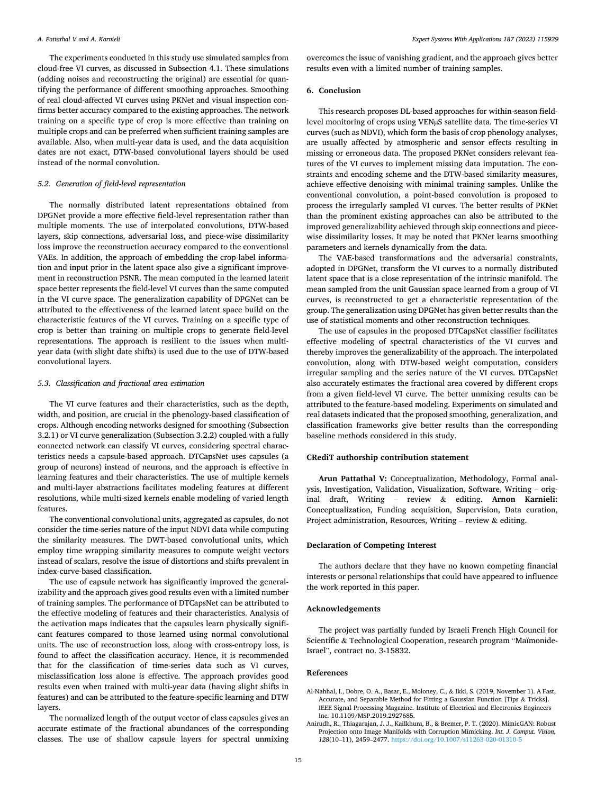<span id="page-14-0"></span>The experiments conducted in this study use simulated samples from cloud-free VI curves, as discussed in Subsection 4.1. These simulations (adding noises and reconstructing the original) are essential for quantifying the performance of different smoothing approaches. Smoothing of real cloud-affected VI curves using PKNet and visual inspection confirms better accuracy compared to the existing approaches. The network training on a specific type of crop is more effective than training on multiple crops and can be preferred when sufficient training samples are available. Also, when multi-year data is used, and the data acquisition dates are not exact, DTW-based convolutional layers should be used instead of the normal convolution.

## *5.2. Generation of field-level representation*

The normally distributed latent representations obtained from DPGNet provide a more effective field-level representation rather than multiple moments. The use of interpolated convolutions, DTW-based layers, skip connections, adversarial loss, and piece-wise dissimilarity loss improve the reconstruction accuracy compared to the conventional VAEs. In addition, the approach of embedding the crop-label information and input prior in the latent space also give a significant improvement in reconstruction PSNR. The mean computed in the learned latent space better represents the field-level VI curves than the same computed in the VI curve space. The generalization capability of DPGNet can be attributed to the effectiveness of the learned latent space build on the characteristic features of the VI curves. Training on a specific type of crop is better than training on multiple crops to generate field-level representations. The approach is resilient to the issues when multiyear data (with slight date shifts) is used due to the use of DTW-based convolutional layers.

## *5.3. Classification and fractional area estimation*

The VI curve features and their characteristics, such as the depth, width, and position, are crucial in the phenology-based classification of crops. Although encoding networks designed for smoothing (Subsection 3.2.1) or VI curve generalization (Subsection 3.2.2) coupled with a fully connected network can classify VI curves, considering spectral characteristics needs a capsule-based approach. DTCapsNet uses capsules (a group of neurons) instead of neurons, and the approach is effective in learning features and their characteristics. The use of multiple kernels and multi-layer abstractions facilitates modeling features at different resolutions, while multi-sized kernels enable modeling of varied length features.

The conventional convolutional units, aggregated as capsules, do not consider the time-series nature of the input NDVI data while computing the similarity measures. The DWT-based convolutional units, which employ time wrapping similarity measures to compute weight vectors instead of scalars, resolve the issue of distortions and shifts prevalent in index-curve-based classification.

The use of capsule network has significantly improved the generalizability and the approach gives good results even with a limited number of training samples. The performance of DTCapsNet can be attributed to the effective modeling of features and their characteristics. Analysis of the activation maps indicates that the capsules learn physically significant features compared to those learned using normal convolutional units. The use of reconstruction loss, along with cross-entropy loss, is found to affect the classification accuracy. Hence, it is recommended that for the classification of time-series data such as VI curves, misclassification loss alone is effective. The approach provides good results even when trained with multi-year data (having slight shifts in features) and can be attributed to the feature-specific learning and DTW layers.

The normalized length of the output vector of class capsules gives an accurate estimate of the fractional abundances of the corresponding classes. The use of shallow capsule layers for spectral unmixing

overcomes the issue of vanishing gradient, and the approach gives better results even with a limited number of training samples.

## **6. Conclusion**

This research proposes DL-based approaches for within-season fieldlevel monitoring of crops using VENµS satellite data. The time-series VI curves (such as NDVI), which form the basis of crop phenology analyses, are usually affected by atmospheric and sensor effects resulting in missing or erroneous data. The proposed PKNet considers relevant features of the VI curves to implement missing data imputation. The constraints and encoding scheme and the DTW-based similarity measures, achieve effective denoising with minimal training samples. Unlike the conventional convolution, a point-based convolution is proposed to process the irregularly sampled VI curves. The better results of PKNet than the prominent existing approaches can also be attributed to the improved generalizability achieved through skip connections and piecewise dissimilarity losses. It may be noted that PKNet learns smoothing parameters and kernels dynamically from the data.

The VAE-based transformations and the adversarial constraints, adopted in DPGNet, transform the VI curves to a normally distributed latent space that is a close representation of the intrinsic manifold. The mean sampled from the unit Gaussian space learned from a group of VI curves, is reconstructed to get a characteristic representation of the group. The generalization using DPGNet has given better results than the use of statistical moments and other reconstruction techniques.

The use of capsules in the proposed DTCapsNet classifier facilitates effective modeling of spectral characteristics of the VI curves and thereby improves the generalizability of the approach. The interpolated convolution, along with DTW-based weight computation, considers irregular sampling and the series nature of the VI curves. DTCapsNet also accurately estimates the fractional area covered by different crops from a given field-level VI curve. The better unmixing results can be attributed to the feature-based modeling. Experiments on simulated and real datasets indicated that the proposed smoothing, generalization, and classification frameworks give better results than the corresponding baseline methods considered in this study.

## **CRediT authorship contribution statement**

**Arun Pattathal V:** Conceptualization, Methodology, Formal analysis, Investigation, Validation, Visualization, Software, Writing – original draft, Writing – review & editing. **Arnon Karnieli:**  Conceptualization, Funding acquisition, Supervision, Data curation, Project administration, Resources, Writing – review & editing.

## **Declaration of Competing Interest**

The authors declare that they have no known competing financial interests or personal relationships that could have appeared to influence the work reported in this paper.

## **Acknowledgements**

The project was partially funded by Israeli French High Council for Scientific & Technological Cooperation, research program "Maïmonide-Israel", contract no. 3-15832.

#### **References**

- Al-Nahhal, I., Dobre, O. A., Basar, E., Moloney, C., & Ikki, S. (2019, November 1). A Fast, Accurate, and Separable Method for Fitting a Gaussian Function [Tips & Tricks]. IEEE Signal Processing Magazine. Institute of Electrical and Electronics Engineers Inc. 10.1109/MSP.2019.2927685.
- Anirudh, R., Thiagarajan, J. J., Kailkhura, B., & Bremer, P. T. (2020). MimicGAN: Robust Projection onto Image Manifolds with Corruption Mimicking. *Int. J. Comput. Vision, 128*(10–11), 2459–2477.<https://doi.org/10.1007/s11263-020-01310-5>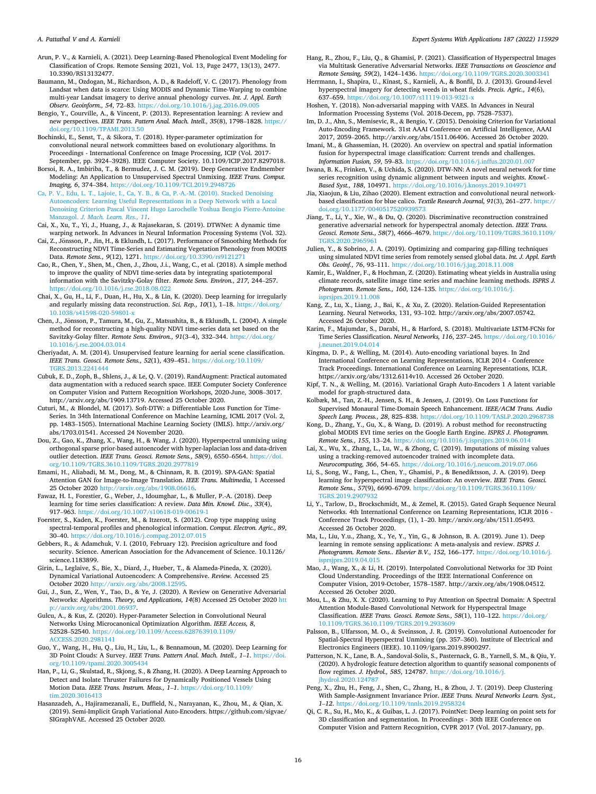<span id="page-15-0"></span>Arun, P. V., & Karnieli, A. (2021). Deep Learning-Based Phenological Event Modeling for Classification of Crops. Remote Sensing 2021, Vol. 13, Page 2477, 13(13), 2477. 10.3390/RS13132477.

- Baumann, M., Ozdogan, M., Richardson, A. D., & Radeloff, V. C. (2017). Phenology from Landsat when data is scarce: Using MODIS and Dynamic Time-Warping to combine multi-year Landsat imagery to derive annual phenology curves. *Int. J. Appl. Earth Observ. Geoinform., 54*, 72–83. <https://doi.org/10.1016/j.jag.2016.09.005>
- Bengio, Y., Courville, A., & Vincent, P. (2013). Representation learning: A review and new perspectives. *IEEE Trans. Pattern Anal. Mach. Intell., 35*(8), 1798–1828. [https://](https://doi.org/10.1109/TPAMI.2013.50)  [doi.org/10.1109/TPAMI.2013.50](https://doi.org/10.1109/TPAMI.2013.50)
- Bochinski, E., Senst, T., & Sikora, T. (2018). Hyper-parameter optimization for convolutional neural network committees based on evolutionary algorithms. In Proceedings - International Conference on Image Processing, ICIP (Vol. 2017- September, pp. 3924–3928). IEEE Computer Society. 10.1109/ICIP.2017.8297018.
- Borsoi, R. A., Imbiriba, T., & Bermudez, J. C. M. (2019). Deep Generative Endmember Modeling: An Application to Unsupervised Spectral Unmixing. *IEEE Trans. Comput. Imaging, 6*, 374–384.<https://doi.org/10.1109/TCI.2019.2948726>
- [Ca, P. V., Edu, L. T., Lajoie, I., Ca, Y. B., & Ca, P.-A.-M. \(2010\). Stacked Denoising](http://refhub.elsevier.com/S0957-4174(21)01283-5/h0040) [Autoencoders: Learning Useful Representations in a Deep Network with a Local](http://refhub.elsevier.com/S0957-4174(21)01283-5/h0040)  [Denoising Criterion Pascal Vincent Hugo Larochelle Yoshua Bengio Pierre-Antoine](http://refhub.elsevier.com/S0957-4174(21)01283-5/h0040) Manzagol. *[J. Mach. Learn. Res., 11](http://refhub.elsevier.com/S0957-4174(21)01283-5/h0040)*.
- Cai, X., Xu, T., Yi, J., Huang, J., & Rajasekaran, S. (2019). DTWNet: A dynamic time warping network. In Advances in Neural Information Processing Systems (Vol. 32). Cai, Z., Jonsson, P., Jin, H., & Eklundh, L. (2017). Performance of Smoothing Methods for ¨
- Reconstructing NDVI Time-Series and Estimating Vegetation Phenology from MODIS Data. *Remote Sens., 9*(12), 1271. <https://doi.org/10.3390/rs9121271>
- Cao, R., Chen, Y., Shen, M., Chen, J., Zhou, J.i., Wang, C., et al. (2018). A simple method to improve the quality of NDVI time-series data by integrating spatiotemporal information with the Savitzky-Golay filter. *Remote Sens. Environ., 217*, 244–257. <https://doi.org/10.1016/j.rse.2018.08.022>
- Chai, X., Gu, H., Li, F., Duan, H., Hu, X., & Lin, K. (2020). Deep learning for irregularly and regularly missing data reconstruction. *Sci. Rep., 10*(1), 1–18. [https://doi.org/](https://doi.org/10.1038/s41598-020-59801-x) [10.1038/s41598-020-59801-x](https://doi.org/10.1038/s41598-020-59801-x)
- Chen, J., Jönsson, P., Tamura, M., Gu, Z., Matsushita, B., & Eklundh, L. (2004). A simple method for reconstructing a high-quality NDVI time-series data set based on the Savitzky-Golay filter. *Remote Sens. Environ., 91*(3–4), 332–344. [https://doi.org/](https://doi.org/10.1016/j.rse.2004.03.014) [10.1016/j.rse.2004.03.014](https://doi.org/10.1016/j.rse.2004.03.014)
- Cheriyadat, A. M. (2014). Unsupervised feature learning for aerial scene classification. *IEEE Trans. Geosci. Remote Sens., 52*(1), 439–451. [https://doi.org/10.1109/](https://doi.org/10.1109/TGRS.2013.2241444)  [TGRS.2013.2241444](https://doi.org/10.1109/TGRS.2013.2241444)
- Cubuk, E. D., Zoph, B., Shlens, J., & Le, Q. V. (2019). RandAugment: Practical automated data augmentation with a reduced search space. IEEE Computer Society Conference on Computer Vision and Pattern Recognition Workshops, 2020-June, 3008–3017. http://arxiv.org/abs/1909.13719. Accessed 25 October 2020.
- Cuturi, M., & Blondel, M. (2017). Soft-DTW: a Differentiable Loss Function for Time-Series. In 34th International Conference on Machine Learning, ICML 2017 (Vol. 2, pp. 1483–1505). International Machine Learning Society (IMLS). http://arxiv.org/ abs/1703.01541. Accessed 24 November 2020.
- Dou, Z., Gao, K., Zhang, X., Wang, H., & Wang, J. (2020). Hyperspectral unmixing using orthogonal sparse prior-based autoencoder with hyper-laplacian loss and data-driven outlier detection. *IEEE Trans. Geosci. Remote Sens., 58*(9), 6550–6564. [https://doi.](https://doi.org/10.1109/TGRS.3610.1109/TGRS.2020.2977819)  [org/10.1109/TGRS.3610.1109/TGRS.2020.2977819](https://doi.org/10.1109/TGRS.3610.1109/TGRS.2020.2977819)
- Emami, H., Aliabadi, M. M., Dong, M., & Chinnam, R. B. (2019). SPA-GAN: Spatial Attention GAN for Image-to-Image Translation. *IEEE Trans. Multimedia*, 1 Accessed 25 October 2020 [http://arxiv.org/abs/1908.06616.](http://arxiv.org/abs/1908.06616)
- Fawaz, H. I., Forestier, G., Weber, J., Idoumghar, L., & Muller, P.-A. (2018). Deep learning for time series classification: A review. *Data Min. Knowl. Disc., 33*(4), 917–963. <https://doi.org/10.1007/s10618-019-00619-1>
- Foerster, S., Kaden, K., Foerster, M., & Itzerott, S. (2012). Crop type mapping using spectral-temporal profiles and phenological information. *Comput. Electron. Agric., 89*, 30–40. <https://doi.org/10.1016/j.compag.2012.07.015>
- Gebbers, R., & Adamchuk, V. I. (2010, February 12). Precision agriculture and food security. Science. American Association for the Advancement of Science. 10.1126/ science.1183899.
- Girin, L., Leglaive, S., Bie, X., Diard, J., Hueber, T., & Alameda-Pineda, X. (2020). Dynamical Variational Autoencoders: A Comprehensive. *Review.* Accessed 25 October 2020 <http://arxiv.org/abs/2008.12595>.
- Gui, J., Sun, Z., Wen, Y., Tao, D., & Ye, J. (2020). A Review on Generative Adversarial Networks: Algorithms. *Theory, and Applications, 14*(8) Accessed 25 October 2020 [htt](http://arxiv.org/abs/2001.06937)  [p://arxiv.org/abs/2001.06937](http://arxiv.org/abs/2001.06937).
- Gulcu, A., & Kus, Z. (2020). Hyper-Parameter Selection in Convolutional Neural Networks Using Microcanonical Optimization Algorithm. *IEEE Access, 8*, 52528–52540. [https://doi.org/10.1109/Access.628763910.1109/](https://doi.org/10.1109/Access.628763910.1109/ACCESS.2020.2981141) [ACCESS.2020.2981141](https://doi.org/10.1109/Access.628763910.1109/ACCESS.2020.2981141)
- Guo, Y., Wang, H., Hu, Q., Liu, H., Liu, L., & Bennamoun, M. (2020). Deep Learning for 3D Point Clouds: A Survey. *IEEE Trans. Pattern Anal. Mach. Intell.*, 1-1. https:// [org/10.1109/tpami.2020.3005434](https://doi.org/10.1109/tpami.2020.3005434)
- Han, P., Li, G., Skulstad, R., Skjong, S., & Zhang, H. (2020). A Deep Learning Approach to Detect and Isolate Thruster Failures for Dynamically Positioned Vessels Using Motion Data. *IEEE Trans. Instrum. Meas., 1*–*1*. [https://doi.org/10.1109/](https://doi.org/10.1109/tim.2020.3016413)  [tim.2020.3016413](https://doi.org/10.1109/tim.2020.3016413)
- Hasanzadeh, A., Hajiramezanali, E., Duffield, N., Narayanan, K., Zhou, M., & Qian, X. (2019). Semi-Implicit Graph Variational Auto-Encoders. https://github.com/sigvae/ SIGraphVAE. Accessed 25 October 2020.
- Hang, R., Zhou, F., Liu, Q., & Ghamisi, P. (2021). Classification of Hyperspectral Images via Multitask Generative Adversarial Networks. *IEEE Transactions on Geoscience and Remote Sensing, 59(2), 1424-1436. https://doi.org/10.1109/TGRS.2020.30033*
- Herrmann, I., Shapira, U., Kinast, S., Karnieli, A., & Bonfil, D. J. (2013). Ground-level hyperspectral imagery for detecting weeds in wheat fields. *Precis. Agric., 14*(6), 637–659. <https://doi.org/10.1007/s11119-013-9321-x>
- Hoshen, Y. (2018). Non-adversarial mapping with VAES. In Advances in Neural Information Processing Systems (Vol. 2018-Decem, pp. 7528–7537).
- Im, D. J., Ahn, S., Memisevic, R., & Bengio, Y. (2015). Denoising Criterion for Variational Auto-Encoding Framework. 31st AAAI Conference on Artificial Intelligence, AAAI 2017, 2059–2065. http://arxiv.org/abs/1511.06406. Accessed 26 October 2020.
- Imani, M., & Ghassemian, H. (2020). An overview on spectral and spatial information fusion for hyperspectral image classification: Current trends and challenges. *Information Fusion, 59*, 59–83. <https://doi.org/10.1016/j.inffus.2020.01.007>
- Iwana, B. K., Frinken, V., & Uchida, S. (2020). DTW-NN: A novel neural network for time series recognition using dynamic alignment between inputs and weights. *Knowl.-*  Based Syst., 188, 104971. https://doi.org/10.1016/j.knosys.2019.10497
- Jia, Xiaojun, & Liu, Zihao (2020). Element extraction and convolutional neural networkbased classification for blue calico. *Textile Research Journal, 91*(3), 261–277. [https://](https://doi.org/10.1177/0040517520939573)  [doi.org/10.1177/0040517520939573](https://doi.org/10.1177/0040517520939573)
- Jiang, T., Li, Y., Xie, W., & Du, Q. (2020). Discriminative reconstruction constrained generative adversarial network for hyperspectral anomaly detection. *IEEE Trans. Geosci. Remote Sens., 58*(7), 4666–4679. [https://doi.org/10.1109/TGRS.3610.1109/](https://doi.org/10.1109/TGRS.3610.1109/TGRS.2020.2965961)  [TGRS.2020.2965961](https://doi.org/10.1109/TGRS.3610.1109/TGRS.2020.2965961)
- Julien, Y., & Sobrino, J. A. (2019). Optimizing and comparing gap-filling techniques using simulated NDVI time series from remotely sensed global data. *Int. J. Appl. Earth Obs. Geoinf., 76, 93-111. https://doi.org/10.1016/j.jag.2018.11.0*
- Kamir, E., Waldner, F., & Hochman, Z. (2020). Estimating wheat yields in Australia using climate records, satellite image time series and machine learning methods. *ISPRS J. Photogramm. Remote Sens., 160*, 124–135. [https://doi.org/10.1016/j.](https://doi.org/10.1016/j.isprsjprs.2019.11.008) [isprsjprs.2019.11.008](https://doi.org/10.1016/j.isprsjprs.2019.11.008)
- Kang, Z., Lu, X., Liang, J., Bai, K., & Xu, Z. (2020). Relation-Guided Representation Learning. Neural Networks, 131, 93–102. http://arxiv.org/abs/2007.05742. Accessed 26 October 2020.
- Karim, F., Majumdar, S., Darabi, H., & Harford, S. (2018). Multivariate LSTM-FCNs for Time Series Classification. *Neural Networks, 116*, 237–245. [https://doi.org/10.1016/](https://doi.org/10.1016/j.neunet.2019.04.014)  [j.neunet.2019.04.014](https://doi.org/10.1016/j.neunet.2019.04.014)
- Kingma, D. P., & Welling, M. (2014). Auto-encoding variational bayes. In 2nd International Conference on Learning Representations, ICLR 2014 - Conference Track Proceedings. International Conference on Learning Representations, ICLR. https://arxiv.org/abs/1312.6114v10. Accessed 26 October 2020.
- Kipf, T. N., & Welling, M. (2016). Variational Graph Auto-Encoders 1 A latent variable model for graph-structured data.
- Kolbæk, M., Tan, Z.-H., Jensen, S. H., & Jensen, J. (2019). On Loss Functions for Supervised Monaural Time-Domain Speech Enhancement. *IEEE/ACM Trans. Audio Speech Lang. Process., 28*, 825–838.<https://doi.org/10.1109/TASLP.2020.2968738>
- Kong, D., Zhang, Y., Gu, X., & Wang, D. (2019). A robust method for reconstructing global MODIS EVI time series on the Google Earth Engine. *ISPRS J. Photogramm. Remote Sens., 155*, 13–24. <https://doi.org/10.1016/j.isprsjprs.2019.06.014>
- Lai, X., Wu, X., Zhang, L., Lu, W., & Zhong, C. (2019). Imputations of missing values using a tracking-removed autoencoder trained with incomplete data. *Neurocomputing, 366*, 54–65. <https://doi.org/10.1016/j.neucom.2019.07.066>
- Li, S., Song, W., Fang, L., Chen, Y., Ghamisi, P., & Benediktsson, J. A. (2019). Deep learning for hyperspectral image classification: An overview. *IEEE Trans. Geosci. Remote Sens., 57*(9), 6690–6709. [https://doi.org/10.1109/TGRS.3610.1109/](https://doi.org/10.1109/TGRS.3610.1109/TGRS.2019.2907932) [TGRS.2019.2907932](https://doi.org/10.1109/TGRS.3610.1109/TGRS.2019.2907932)
- Li, Y., Tarlow, D., Brockschmidt, M., & Zemel, R. (2015). Gated Graph Sequence Neural Networks. 4th International Conference on Learning Representations, ICLR 2016 - Conference Track Proceedings, (1), 1–20. http://arxiv.org/abs/1511.05493. Accessed 26 October 2020.
- Ma, L., Liu, Y.u., Zhang, X., Ye, Y., Yin, G., & Johnson, B. A. (2019). June 1). Deep learning in remote sensing applications: A meta-analysis and review. *ISPRS J. Photogramm. Remote Sens.. Elsevier B.V., 152*, 166–177. [https://doi.org/10.1016/j.](https://doi.org/10.1016/j.isprsjprs.2019.04.015)  [isprsjprs.2019.04.015](https://doi.org/10.1016/j.isprsjprs.2019.04.015)
- Mao, J., Wang, X., & Li, H. (2019). Interpolated Convolutional Networks for 3D Point Cloud Understanding. Proceedings of the IEEE International Conference on Computer Vision, 2019-October, 1578–1587. http://arxiv.org/abs/1908.04512. Accessed 26 October 2020.
- Mou, L., & Zhu, X. X. (2020). Learning to Pay Attention on Spectral Domain: A Spectral Attention Module-Based Convolutional Network for Hyperspectral Image Classification. *IEEE Trans. Geosci. Remote Sens., 58*(1), 110–122. [https://doi.org/](https://doi.org/10.1109/TGRS.3610.1109/TGRS.2019.2933609)  [10.1109/TGRS.3610.1109/TGRS.2019.2933609](https://doi.org/10.1109/TGRS.3610.1109/TGRS.2019.2933609)
- Palsson, B., Ulfarsson, M. O., & Sveinsson, J. R. (2019). Convolutional Autoencoder for Spatial-Spectral Hyperspectral Unmixing (pp. 357–360). Institute of Electrical and Electronics Engineers (IEEE). 10.1109/igarss.2019.8900297.
- Patterson, N. K., Lane, B. A., Sandoval-Solis, S., Pasternack, G. B., Yarnell, S. M., & Qiu, Y. (2020). A hydrologic feature detection algorithm to quantify seasonal components of flow regimes. *J. Hydrol., 585*, 124787. [https://doi.org/10.1016/j.](https://doi.org/10.1016/j.jhydrol.2020.124787) [jhydrol.2020.124787](https://doi.org/10.1016/j.jhydrol.2020.124787)
- Peng, X., Zhu, H., Feng, J., Shen, C., Zhang, H., & Zhou, J. T. (2019). Deep Clustering With Sample-Assignment Invariance Prior. *IEEE Trans. Neural Networks Learn. Syst., 1*–*12*.<https://doi.org/10.1109/tnnls.2019.2958324>
- Qi, C. R., Su, H., Mo, K., & Guibas, L. J. (2017). PointNet: Deep learning on point sets for 3D classification and segmentation. In Proceedings - 30th IEEE Conference on Computer Vision and Pattern Recognition, CVPR 2017 (Vol. 2017-January, pp.